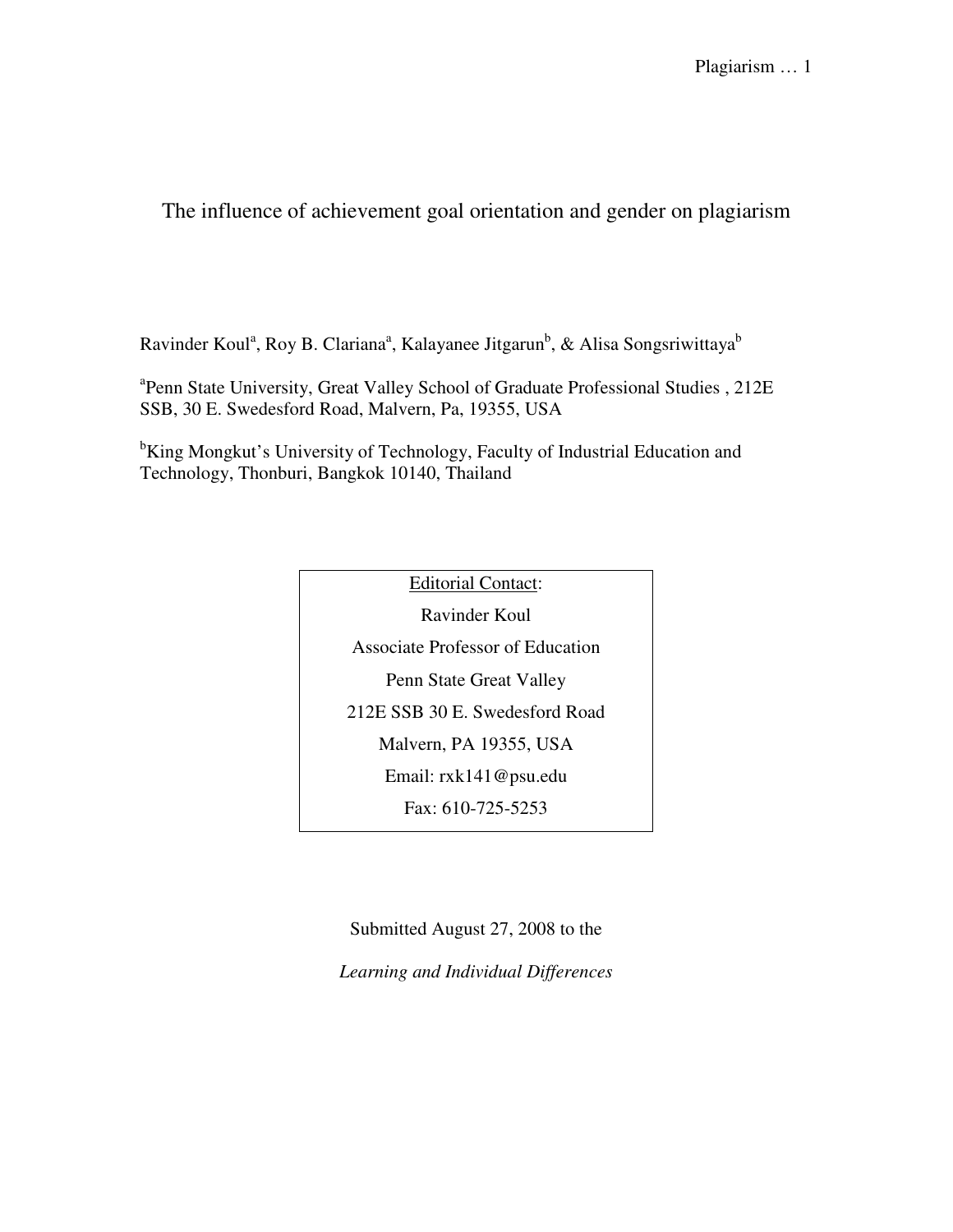The influence of achievement goal orientation and gender on plagiarism

Ravinder Koul<sup>a</sup>, Roy B. Clariana<sup>a</sup>, Kalayanee Jitgarun<sup>b</sup>, & Alisa Songsriwittaya<sup>b</sup>

<sup>a</sup>Penn State University, Great Valley School of Graduate Professional Studies, 212E SSB, 30 E. Swedesford Road, Malvern, Pa, 19355, USA

<sup>b</sup>King Mongkut's University of Technology, Faculty of Industrial Education and Technology, Thonburi, Bangkok 10140, Thailand

> Editorial Contact: Ravinder Koul Associate Professor of Education Penn State Great Valley 212E SSB 30 E. Swedesford Road Malvern, PA 19355, USA Email: rxk141@psu.edu Fax: 610-725-5253

Submitted August 27, 2008 to the

*Learning and Individual Differences*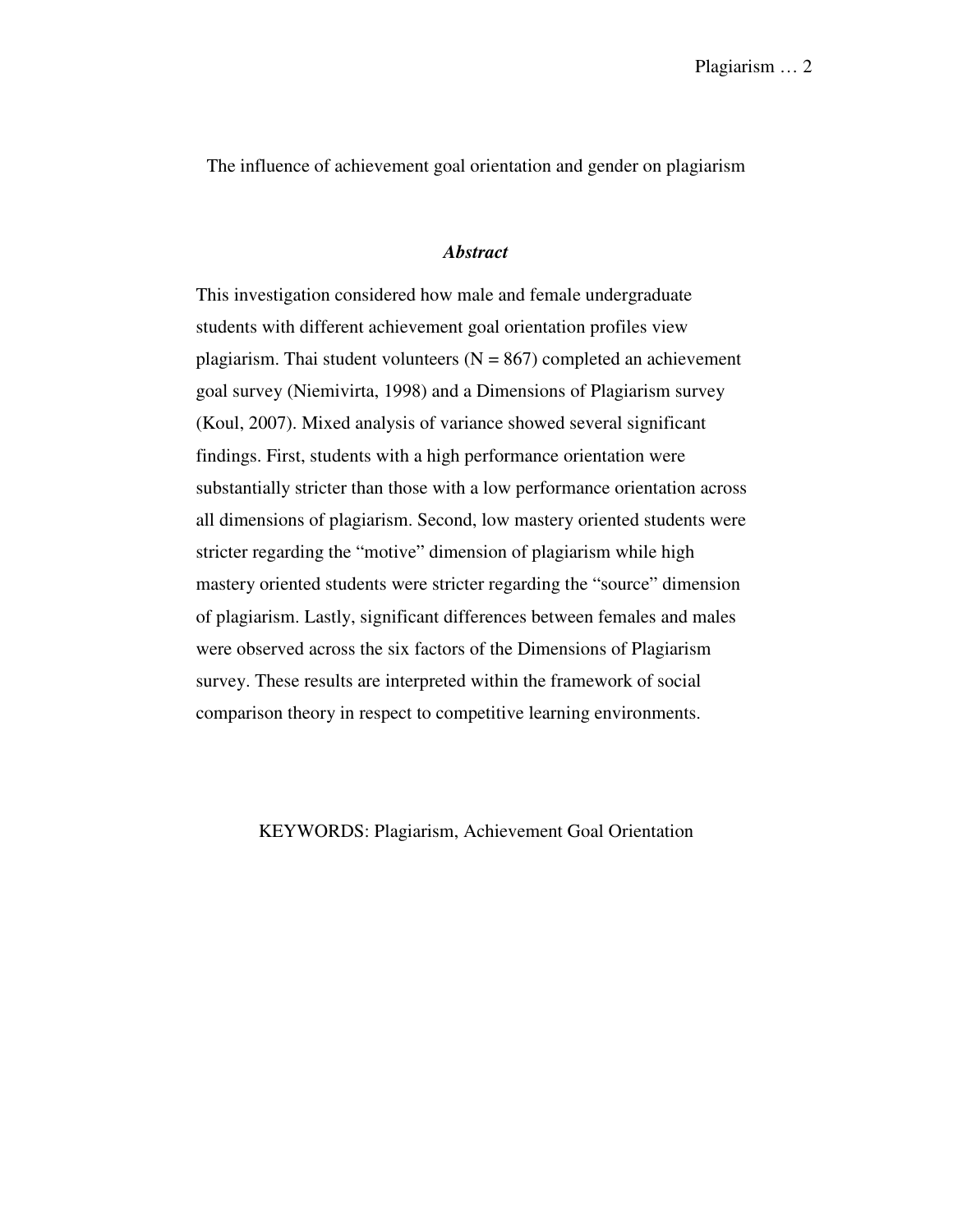The influence of achievement goal orientation and gender on plagiarism

#### *Abstract*

This investigation considered how male and female undergraduate students with different achievement goal orientation profiles view plagiarism. Thai student volunteers  $(N = 867)$  completed an achievement goal survey (Niemivirta, 1998) and a Dimensions of Plagiarism survey (Koul, 2007). Mixed analysis of variance showed several significant findings. First, students with a high performance orientation were substantially stricter than those with a low performance orientation across all dimensions of plagiarism. Second, low mastery oriented students were stricter regarding the "motive" dimension of plagiarism while high mastery oriented students were stricter regarding the "source" dimension of plagiarism. Lastly, significant differences between females and males were observed across the six factors of the Dimensions of Plagiarism survey. These results are interpreted within the framework of social comparison theory in respect to competitive learning environments.

KEYWORDS: Plagiarism, Achievement Goal Orientation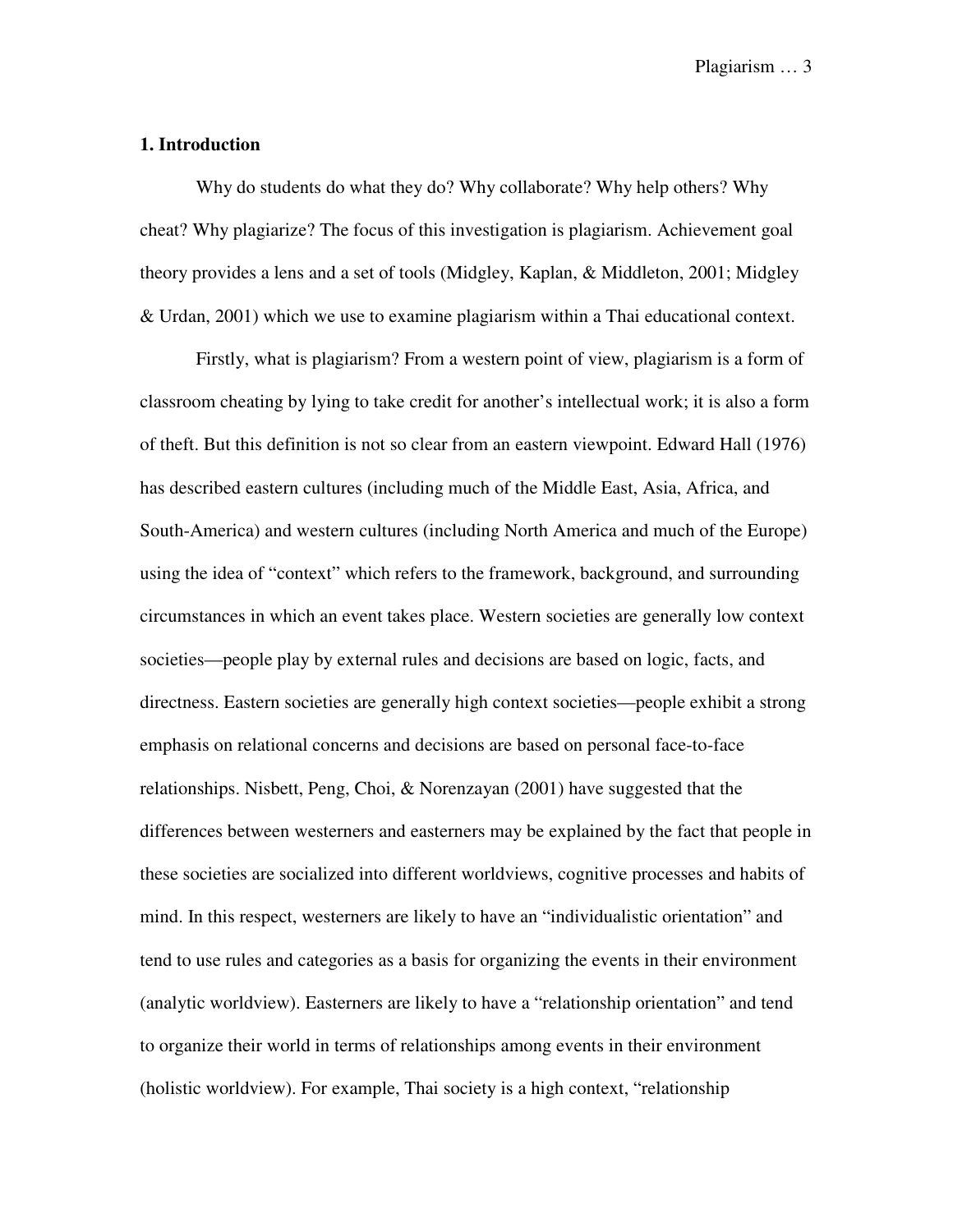#### **1. Introduction**

Why do students do what they do? Why collaborate? Why help others? Why cheat? Why plagiarize? The focus of this investigation is plagiarism. Achievement goal theory provides a lens and a set of tools (Midgley, Kaplan, & Middleton, 2001; Midgley & Urdan, 2001) which we use to examine plagiarism within a Thai educational context.

Firstly, what is plagiarism? From a western point of view, plagiarism is a form of classroom cheating by lying to take credit for another's intellectual work; it is also a form of theft. But this definition is not so clear from an eastern viewpoint. Edward Hall (1976) has described eastern cultures (including much of the Middle East, Asia, Africa, and South-America) and western cultures (including North America and much of the Europe) using the idea of "context" which refers to the framework, background, and surrounding circumstances in which an event takes place. Western societies are generally low context societies—people play by external rules and decisions are based on logic, facts, and directness. Eastern societies are generally high context societies—people exhibit a strong emphasis on relational concerns and decisions are based on personal face-to-face relationships. Nisbett, Peng, Choi, & Norenzayan (2001) have suggested that the differences between westerners and easterners may be explained by the fact that people in these societies are socialized into different worldviews, cognitive processes and habits of mind. In this respect, westerners are likely to have an "individualistic orientation" and tend to use rules and categories as a basis for organizing the events in their environment (analytic worldview). Easterners are likely to have a "relationship orientation" and tend to organize their world in terms of relationships among events in their environment (holistic worldview). For example, Thai society is a high context, "relationship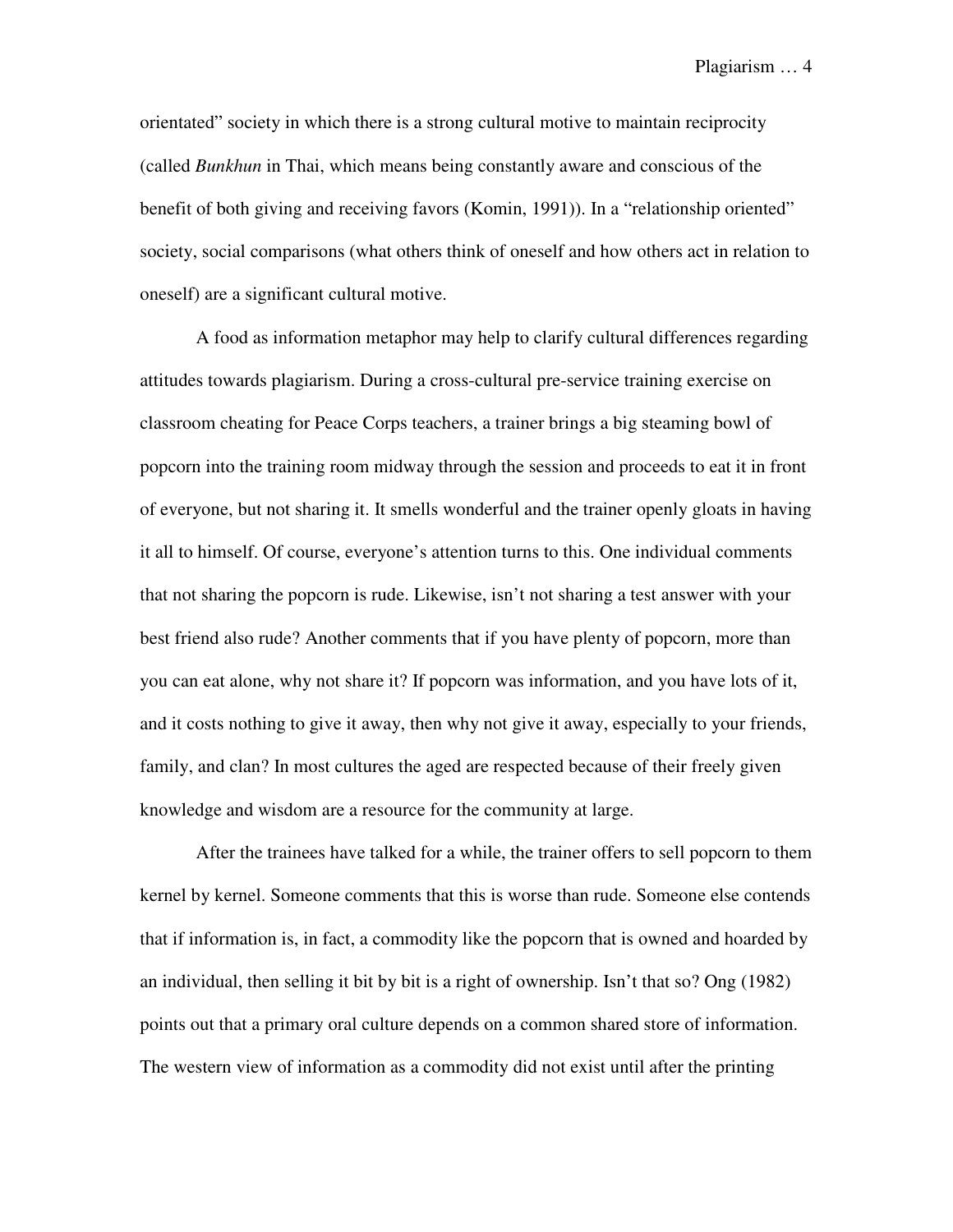orientated" society in which there is a strong cultural motive to maintain reciprocity (called *Bunkhun* in Thai, which means being constantly aware and conscious of the benefit of both giving and receiving favors (Komin, 1991)). In a "relationship oriented" society, social comparisons (what others think of oneself and how others act in relation to oneself) are a significant cultural motive.

A food as information metaphor may help to clarify cultural differences regarding attitudes towards plagiarism. During a cross-cultural pre-service training exercise on classroom cheating for Peace Corps teachers, a trainer brings a big steaming bowl of popcorn into the training room midway through the session and proceeds to eat it in front of everyone, but not sharing it. It smells wonderful and the trainer openly gloats in having it all to himself. Of course, everyone's attention turns to this. One individual comments that not sharing the popcorn is rude. Likewise, isn't not sharing a test answer with your best friend also rude? Another comments that if you have plenty of popcorn, more than you can eat alone, why not share it? If popcorn was information, and you have lots of it, and it costs nothing to give it away, then why not give it away, especially to your friends, family, and clan? In most cultures the aged are respected because of their freely given knowledge and wisdom are a resource for the community at large.

After the trainees have talked for a while, the trainer offers to sell popcorn to them kernel by kernel. Someone comments that this is worse than rude. Someone else contends that if information is, in fact, a commodity like the popcorn that is owned and hoarded by an individual, then selling it bit by bit is a right of ownership. Isn't that so? Ong (1982) points out that a primary oral culture depends on a common shared store of information. The western view of information as a commodity did not exist until after the printing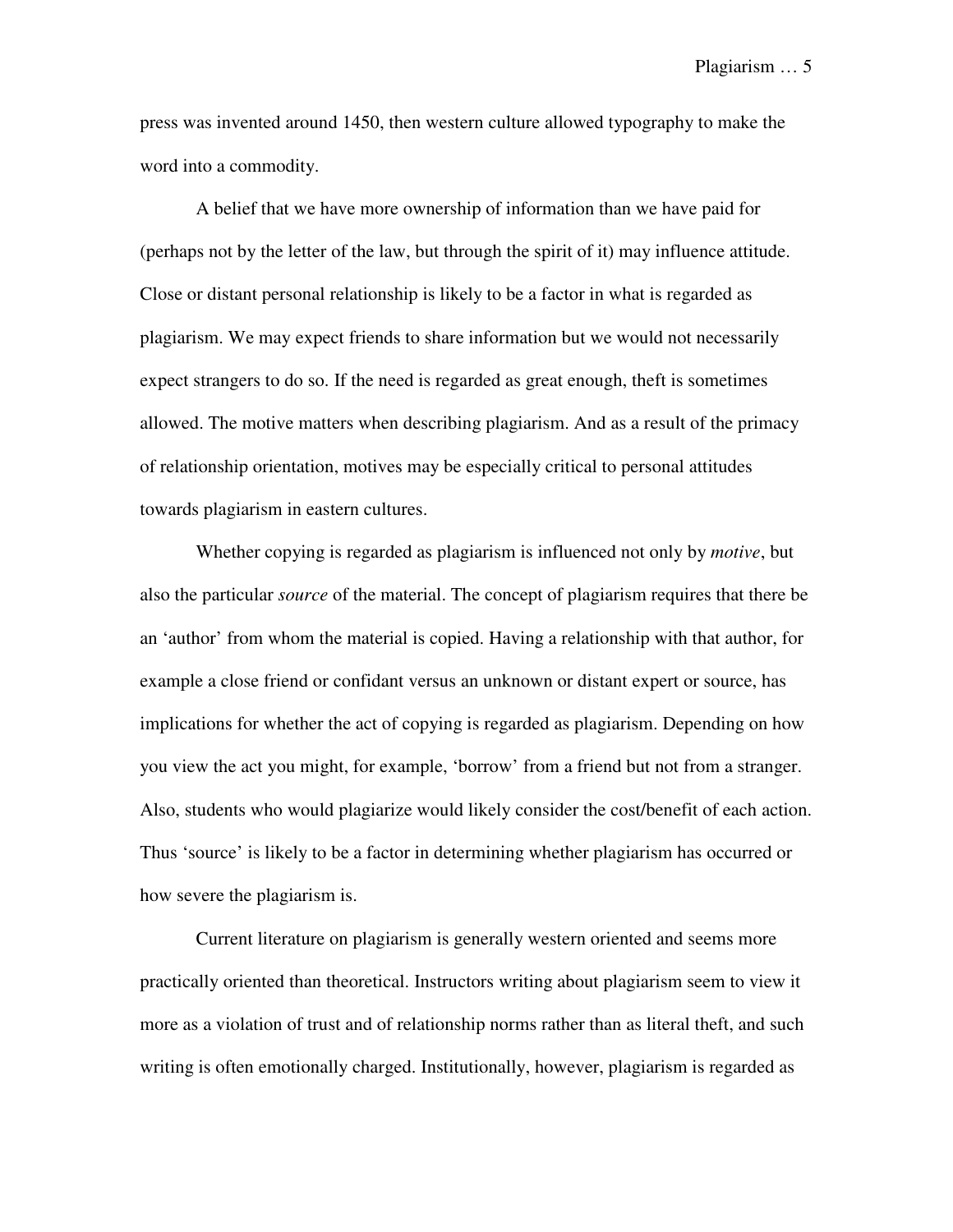press was invented around 1450, then western culture allowed typography to make the word into a commodity.

A belief that we have more ownership of information than we have paid for (perhaps not by the letter of the law, but through the spirit of it) may influence attitude. Close or distant personal relationship is likely to be a factor in what is regarded as plagiarism. We may expect friends to share information but we would not necessarily expect strangers to do so. If the need is regarded as great enough, theft is sometimes allowed. The motive matters when describing plagiarism. And as a result of the primacy of relationship orientation, motives may be especially critical to personal attitudes towards plagiarism in eastern cultures.

Whether copying is regarded as plagiarism is influenced not only by *motive*, but also the particular *source* of the material. The concept of plagiarism requires that there be an 'author' from whom the material is copied. Having a relationship with that author, for example a close friend or confidant versus an unknown or distant expert or source, has implications for whether the act of copying is regarded as plagiarism. Depending on how you view the act you might, for example, 'borrow' from a friend but not from a stranger. Also, students who would plagiarize would likely consider the cost/benefit of each action. Thus 'source' is likely to be a factor in determining whether plagiarism has occurred or how severe the plagiarism is.

Current literature on plagiarism is generally western oriented and seems more practically oriented than theoretical. Instructors writing about plagiarism seem to view it more as a violation of trust and of relationship norms rather than as literal theft, and such writing is often emotionally charged. Institutionally, however, plagiarism is regarded as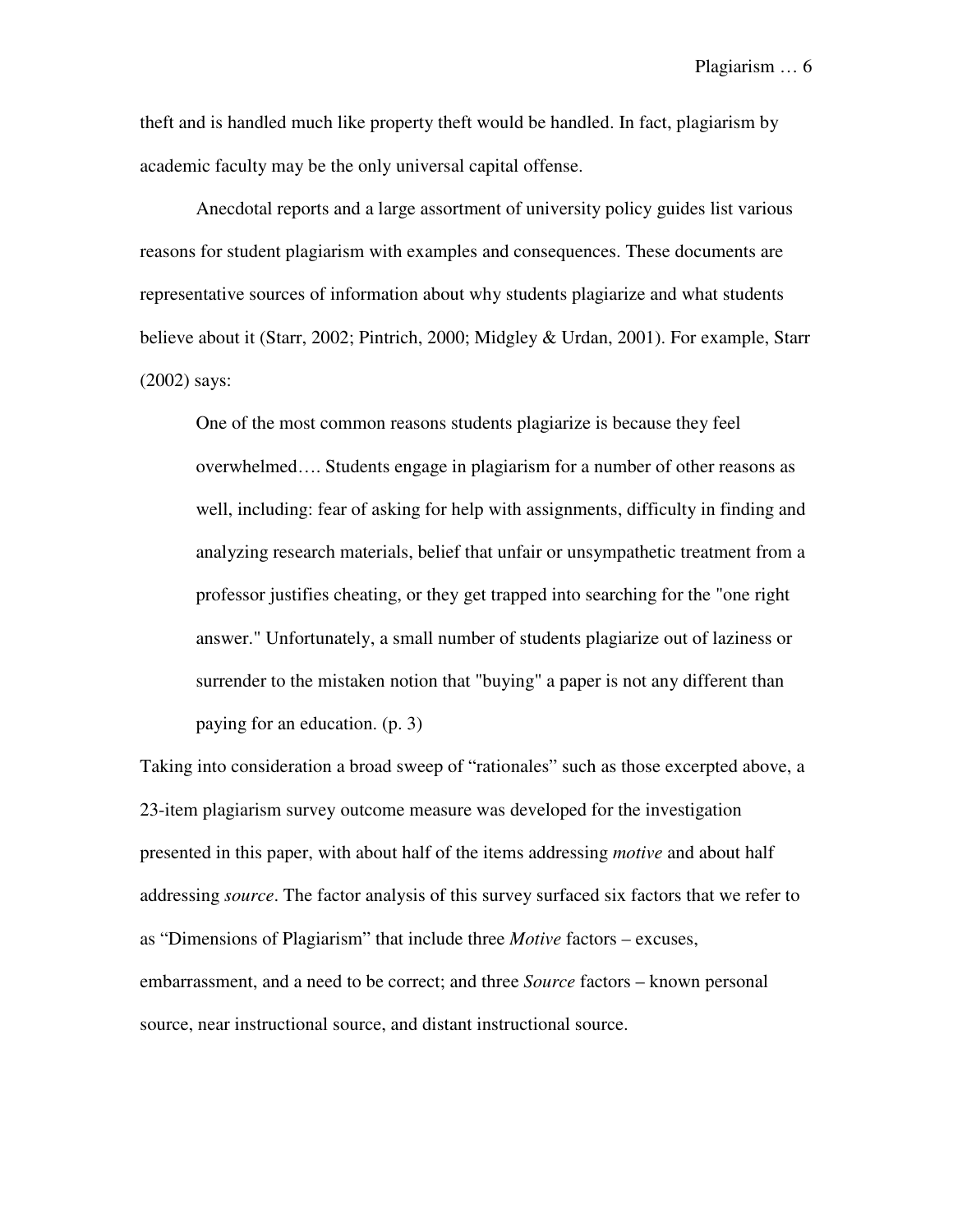theft and is handled much like property theft would be handled. In fact, plagiarism by academic faculty may be the only universal capital offense.

Anecdotal reports and a large assortment of university policy guides list various reasons for student plagiarism with examples and consequences. These documents are representative sources of information about why students plagiarize and what students believe about it (Starr, 2002; Pintrich, 2000; Midgley & Urdan, 2001). For example, Starr (2002) says:

One of the most common reasons students plagiarize is because they feel overwhelmed…. Students engage in plagiarism for a number of other reasons as well, including: fear of asking for help with assignments, difficulty in finding and analyzing research materials, belief that unfair or unsympathetic treatment from a professor justifies cheating, or they get trapped into searching for the "one right answer." Unfortunately, a small number of students plagiarize out of laziness or surrender to the mistaken notion that "buying" a paper is not any different than paying for an education. (p. 3)

Taking into consideration a broad sweep of "rationales" such as those excerpted above, a 23-item plagiarism survey outcome measure was developed for the investigation presented in this paper, with about half of the items addressing *motive* and about half addressing *source*. The factor analysis of this survey surfaced six factors that we refer to as "Dimensions of Plagiarism" that include three *Motive* factors – excuses, embarrassment, and a need to be correct; and three *Source* factors – known personal source, near instructional source, and distant instructional source.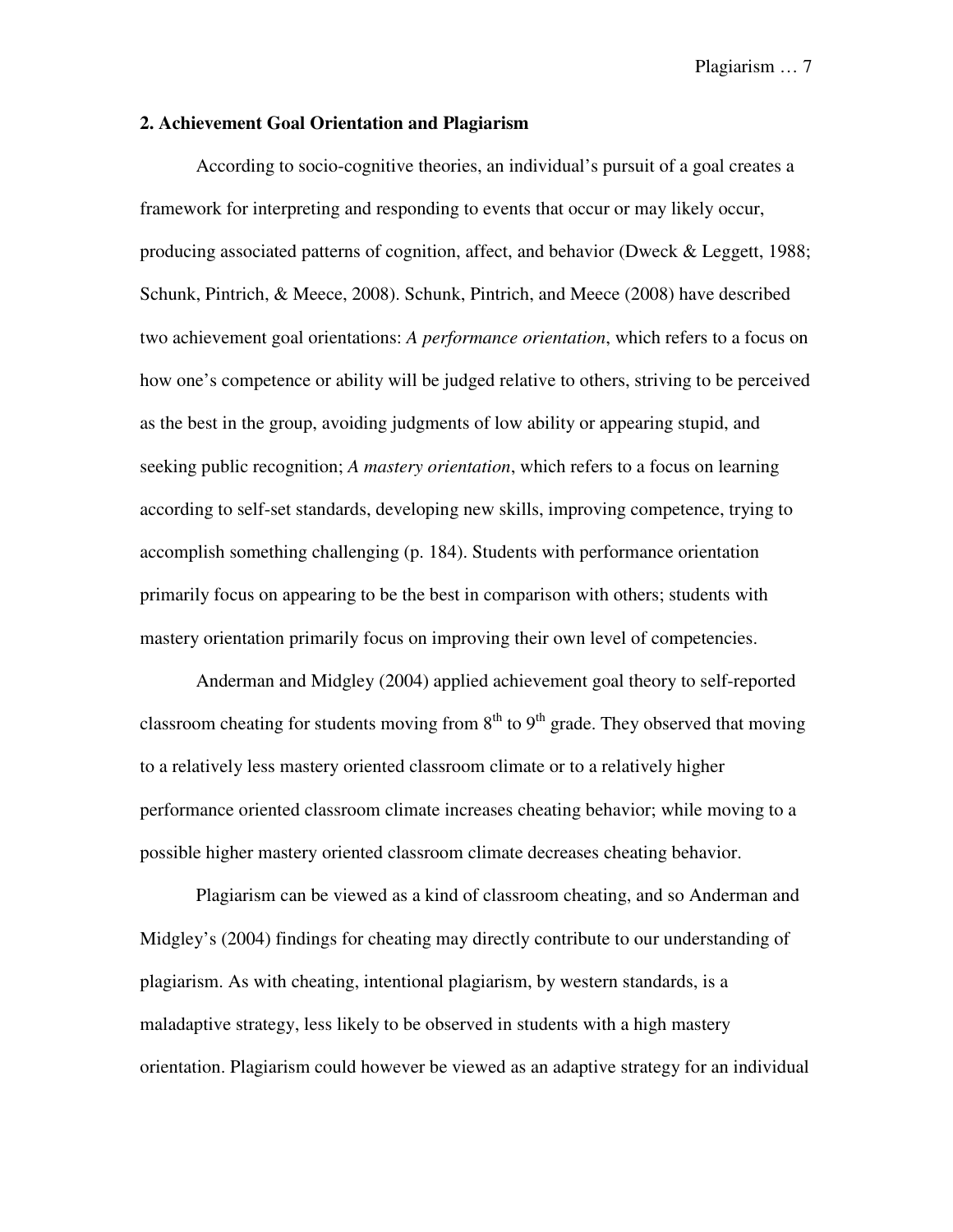#### **2. Achievement Goal Orientation and Plagiarism**

According to socio-cognitive theories, an individual's pursuit of a goal creates a framework for interpreting and responding to events that occur or may likely occur, producing associated patterns of cognition, affect, and behavior (Dweck & Leggett, 1988; Schunk, Pintrich, & Meece, 2008). Schunk, Pintrich, and Meece (2008) have described two achievement goal orientations: *A performance orientation*, which refers to a focus on how one's competence or ability will be judged relative to others, striving to be perceived as the best in the group, avoiding judgments of low ability or appearing stupid, and seeking public recognition; *A mastery orientation*, which refers to a focus on learning according to self-set standards, developing new skills, improving competence, trying to accomplish something challenging (p. 184). Students with performance orientation primarily focus on appearing to be the best in comparison with others; students with mastery orientation primarily focus on improving their own level of competencies.

Anderman and Midgley (2004) applied achievement goal theory to self-reported classroom cheating for students moving from  $8<sup>th</sup>$  to  $9<sup>th</sup>$  grade. They observed that moving to a relatively less mastery oriented classroom climate or to a relatively higher performance oriented classroom climate increases cheating behavior; while moving to a possible higher mastery oriented classroom climate decreases cheating behavior.

Plagiarism can be viewed as a kind of classroom cheating, and so Anderman and Midgley's (2004) findings for cheating may directly contribute to our understanding of plagiarism. As with cheating, intentional plagiarism, by western standards, is a maladaptive strategy, less likely to be observed in students with a high mastery orientation. Plagiarism could however be viewed as an adaptive strategy for an individual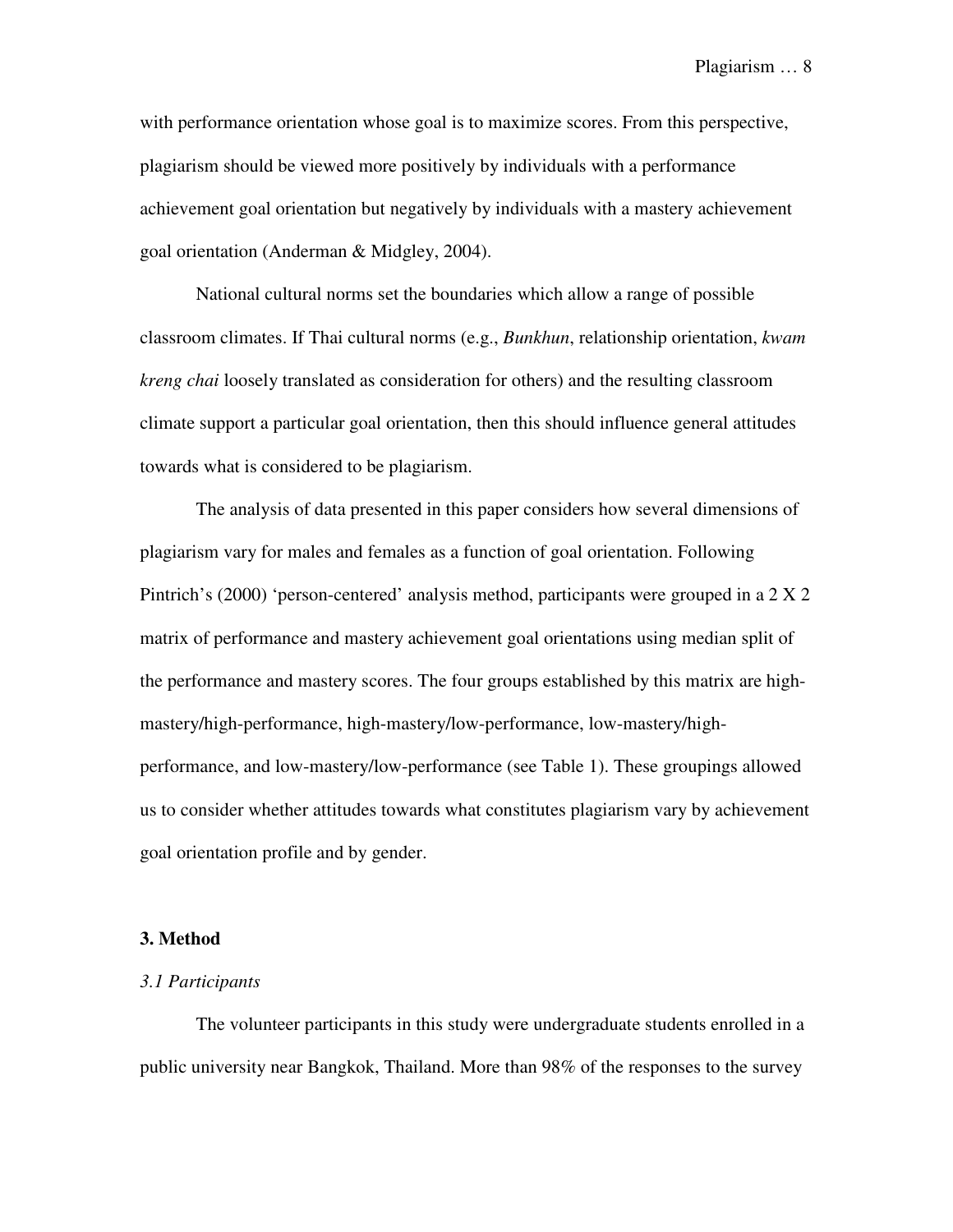with performance orientation whose goal is to maximize scores. From this perspective, plagiarism should be viewed more positively by individuals with a performance achievement goal orientation but negatively by individuals with a mastery achievement goal orientation (Anderman & Midgley, 2004).

National cultural norms set the boundaries which allow a range of possible classroom climates. If Thai cultural norms (e.g., *Bunkhun*, relationship orientation, *kwam kreng chai* loosely translated as consideration for others) and the resulting classroom climate support a particular goal orientation, then this should influence general attitudes towards what is considered to be plagiarism.

The analysis of data presented in this paper considers how several dimensions of plagiarism vary for males and females as a function of goal orientation. Following Pintrich's (2000) 'person-centered' analysis method, participants were grouped in a 2 X 2 matrix of performance and mastery achievement goal orientations using median split of the performance and mastery scores. The four groups established by this matrix are highmastery/high-performance, high-mastery/low-performance, low-mastery/highperformance, and low-mastery/low-performance (see Table 1). These groupings allowed us to consider whether attitudes towards what constitutes plagiarism vary by achievement goal orientation profile and by gender.

#### **3. Method**

#### *3.1 Participants*

The volunteer participants in this study were undergraduate students enrolled in a public university near Bangkok, Thailand. More than 98% of the responses to the survey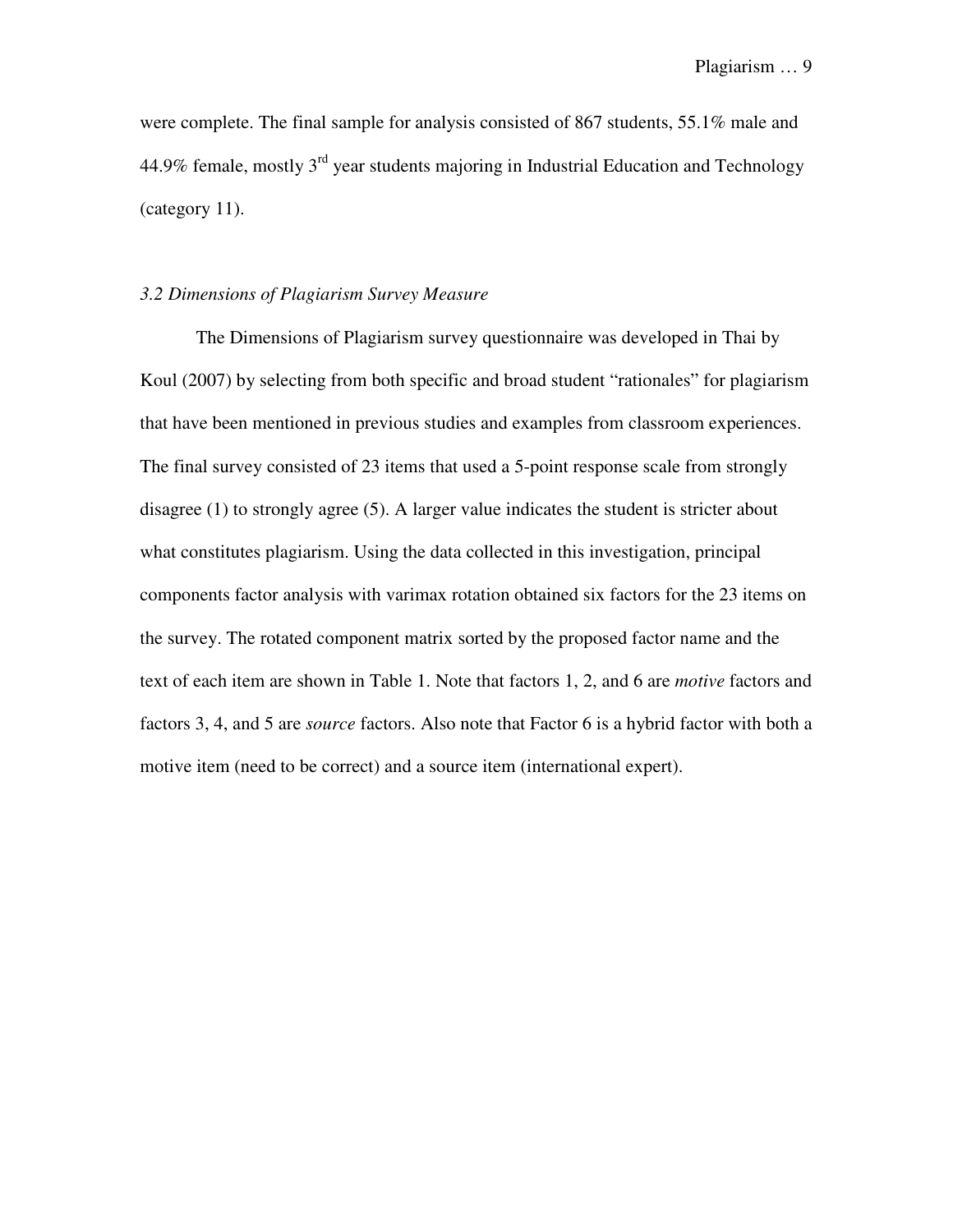were complete. The final sample for analysis consisted of 867 students, 55.1% male and 44.9% female, mostly  $3<sup>rd</sup>$  year students majoring in Industrial Education and Technology (category 11).

### *3.2 Dimensions of Plagiarism Survey Measure*

The Dimensions of Plagiarism survey questionnaire was developed in Thai by Koul (2007) by selecting from both specific and broad student "rationales" for plagiarism that have been mentioned in previous studies and examples from classroom experiences. The final survey consisted of 23 items that used a 5-point response scale from strongly disagree (1) to strongly agree (5). A larger value indicates the student is stricter about what constitutes plagiarism. Using the data collected in this investigation, principal components factor analysis with varimax rotation obtained six factors for the 23 items on the survey. The rotated component matrix sorted by the proposed factor name and the text of each item are shown in Table 1. Note that factors 1, 2, and 6 are *motive* factors and factors 3, 4, and 5 are *source* factors. Also note that Factor 6 is a hybrid factor with both a motive item (need to be correct) and a source item (international expert).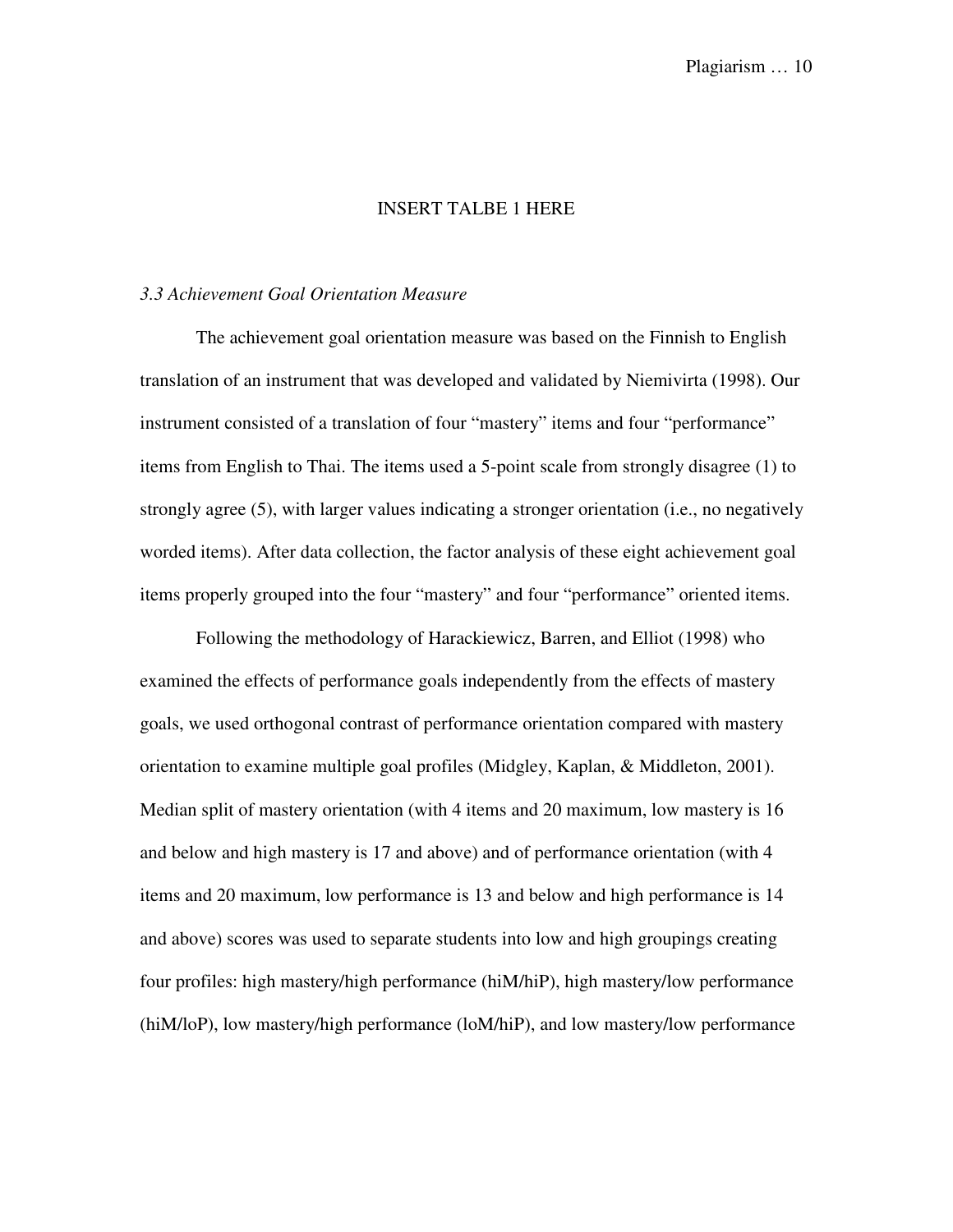### INSERT TALBE 1 HERE

#### *3.3 Achievement Goal Orientation Measure*

The achievement goal orientation measure was based on the Finnish to English translation of an instrument that was developed and validated by Niemivirta (1998). Our instrument consisted of a translation of four "mastery" items and four "performance" items from English to Thai. The items used a 5-point scale from strongly disagree (1) to strongly agree (5), with larger values indicating a stronger orientation (i.e., no negatively worded items). After data collection, the factor analysis of these eight achievement goal items properly grouped into the four "mastery" and four "performance" oriented items.

Following the methodology of Harackiewicz, Barren, and Elliot (1998) who examined the effects of performance goals independently from the effects of mastery goals, we used orthogonal contrast of performance orientation compared with mastery orientation to examine multiple goal profiles (Midgley, Kaplan, & Middleton, 2001). Median split of mastery orientation (with 4 items and 20 maximum, low mastery is 16 and below and high mastery is 17 and above) and of performance orientation (with 4 items and 20 maximum, low performance is 13 and below and high performance is 14 and above) scores was used to separate students into low and high groupings creating four profiles: high mastery/high performance (hiM/hiP), high mastery/low performance (hiM/loP), low mastery/high performance (loM/hiP), and low mastery/low performance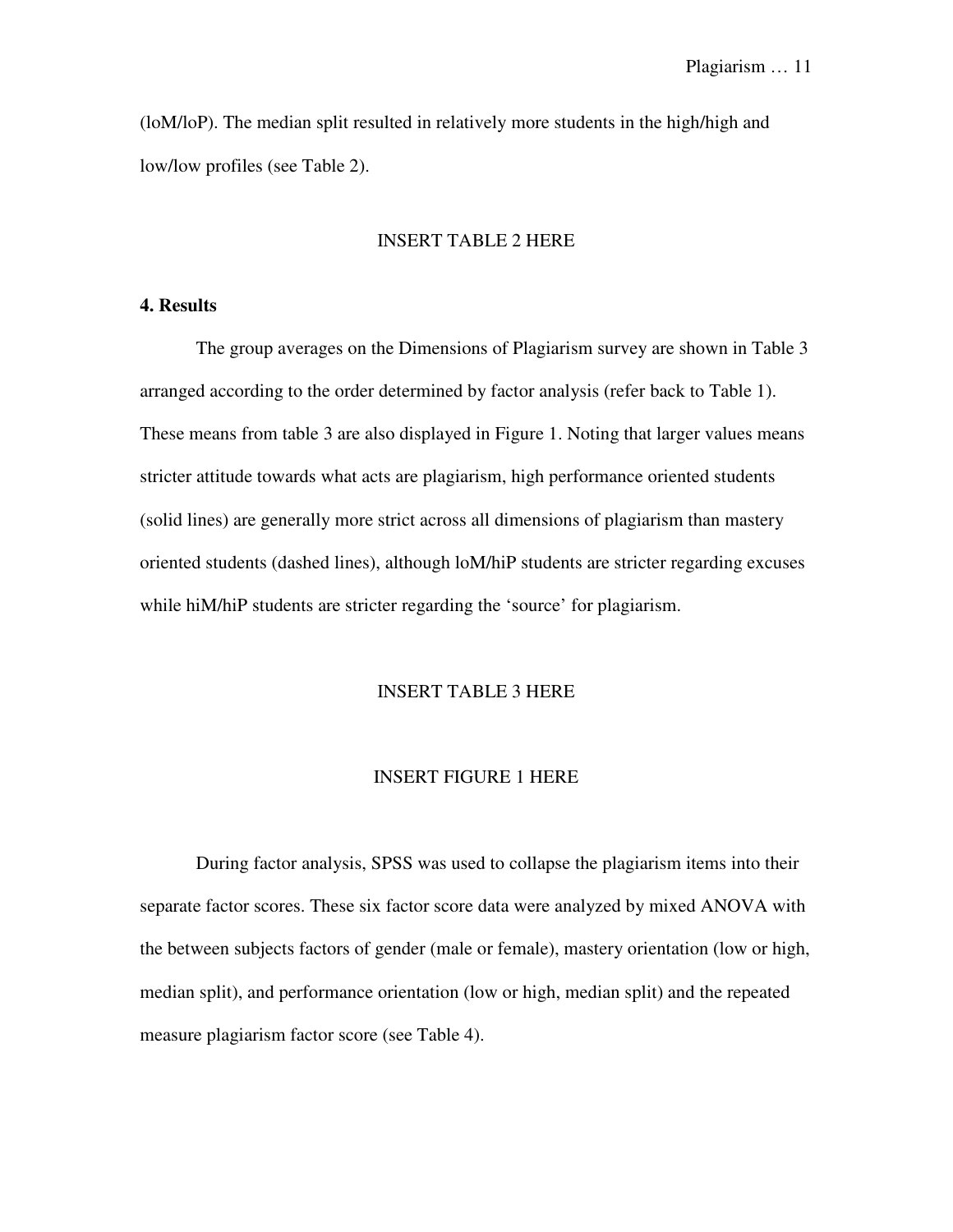(loM/loP). The median split resulted in relatively more students in the high/high and low/low profiles (see Table 2).

### INSERT TABLE 2 HERE

### **4. Results**

The group averages on the Dimensions of Plagiarism survey are shown in Table 3 arranged according to the order determined by factor analysis (refer back to Table 1). These means from table 3 are also displayed in Figure 1. Noting that larger values means stricter attitude towards what acts are plagiarism, high performance oriented students (solid lines) are generally more strict across all dimensions of plagiarism than mastery oriented students (dashed lines), although loM/hiP students are stricter regarding excuses while hiM/hiP students are stricter regarding the 'source' for plagiarism.

#### INSERT TABLE 3 HERE

#### INSERT FIGURE 1 HERE

During factor analysis, SPSS was used to collapse the plagiarism items into their separate factor scores. These six factor score data were analyzed by mixed ANOVA with the between subjects factors of gender (male or female), mastery orientation (low or high, median split), and performance orientation (low or high, median split) and the repeated measure plagiarism factor score (see Table 4).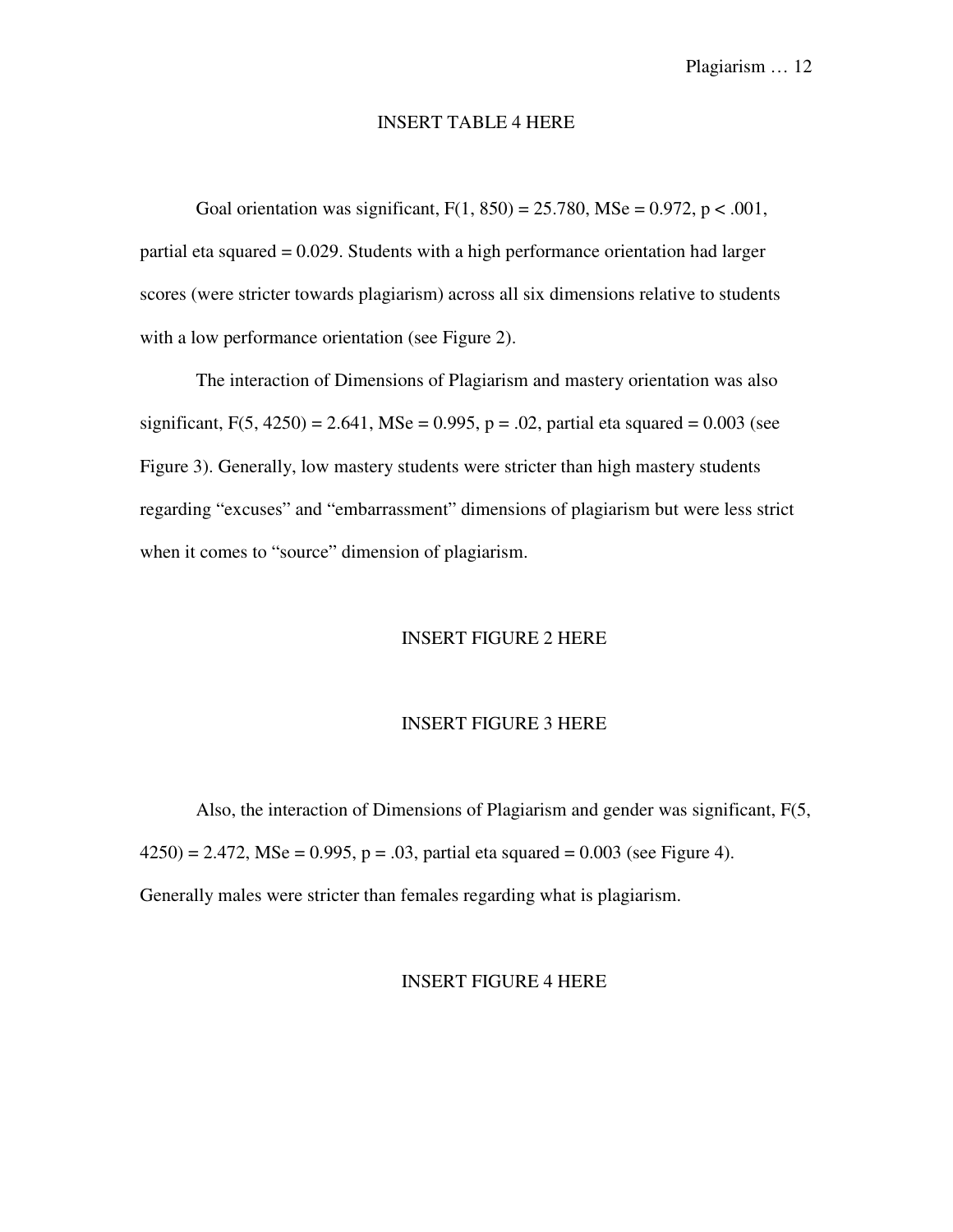#### INSERT TABLE 4 HERE

Goal orientation was significant,  $F(1, 850) = 25.780$ , MSe = 0.972, p < .001, partial eta squared = 0.029. Students with a high performance orientation had larger scores (were stricter towards plagiarism) across all six dimensions relative to students with a low performance orientation (see Figure 2).

The interaction of Dimensions of Plagiarism and mastery orientation was also significant,  $F(5, 4250) = 2.641$ , MSe = 0.995, p = .02, partial eta squared = 0.003 (see Figure 3). Generally, low mastery students were stricter than high mastery students regarding "excuses" and "embarrassment" dimensions of plagiarism but were less strict when it comes to "source" dimension of plagiarism.

#### INSERT FIGURE 2 HERE

#### INSERT FIGURE 3 HERE

Also, the interaction of Dimensions of Plagiarism and gender was significant, F(5,  $(4250) = 2.472$ , MSe = 0.995, p = .03, partial eta squared = 0.003 (see Figure 4). Generally males were stricter than females regarding what is plagiarism.

#### INSERT FIGURE 4 HERE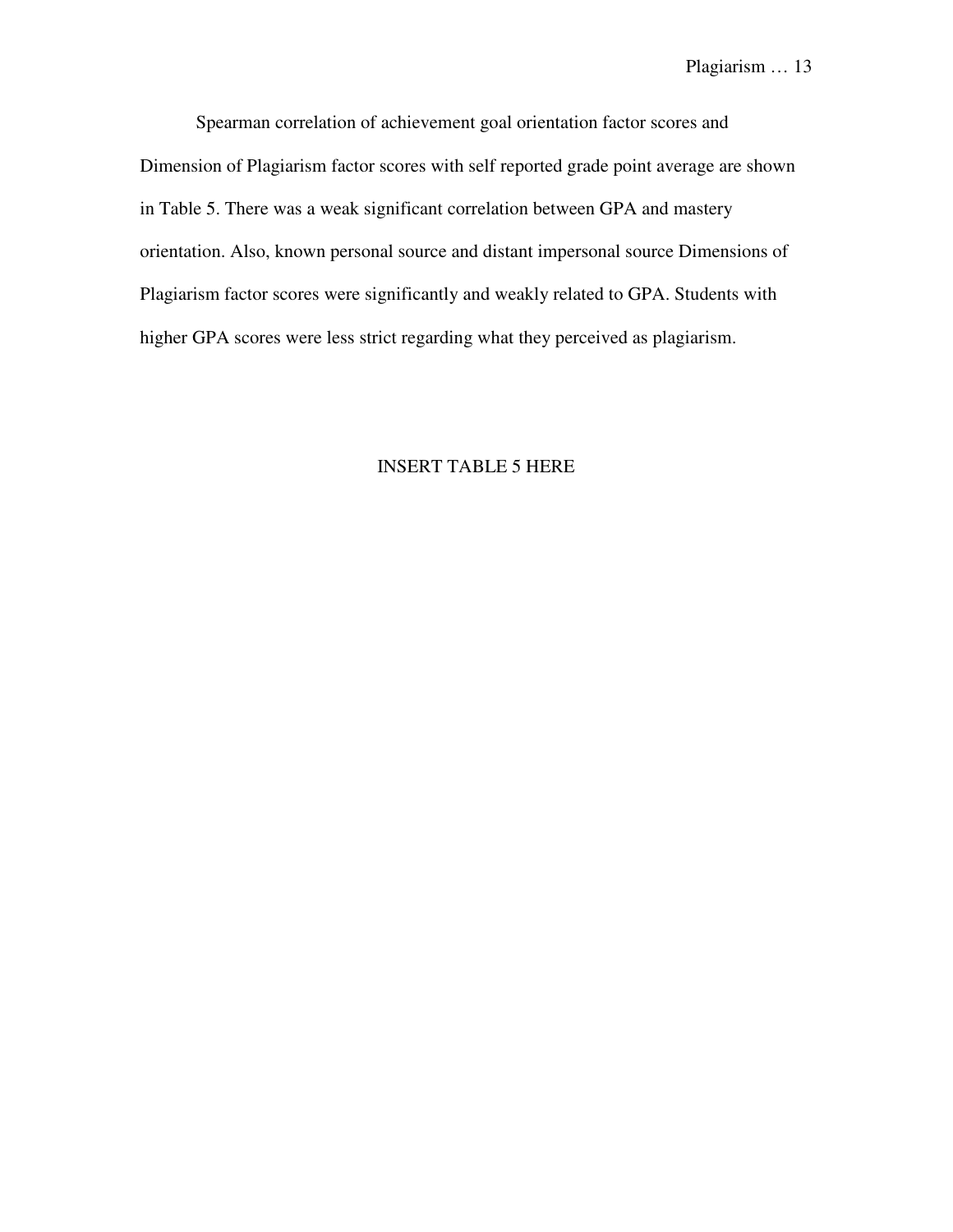Spearman correlation of achievement goal orientation factor scores and Dimension of Plagiarism factor scores with self reported grade point average are shown in Table 5. There was a weak significant correlation between GPA and mastery orientation. Also, known personal source and distant impersonal source Dimensions of Plagiarism factor scores were significantly and weakly related to GPA. Students with higher GPA scores were less strict regarding what they perceived as plagiarism.

### INSERT TABLE 5 HERE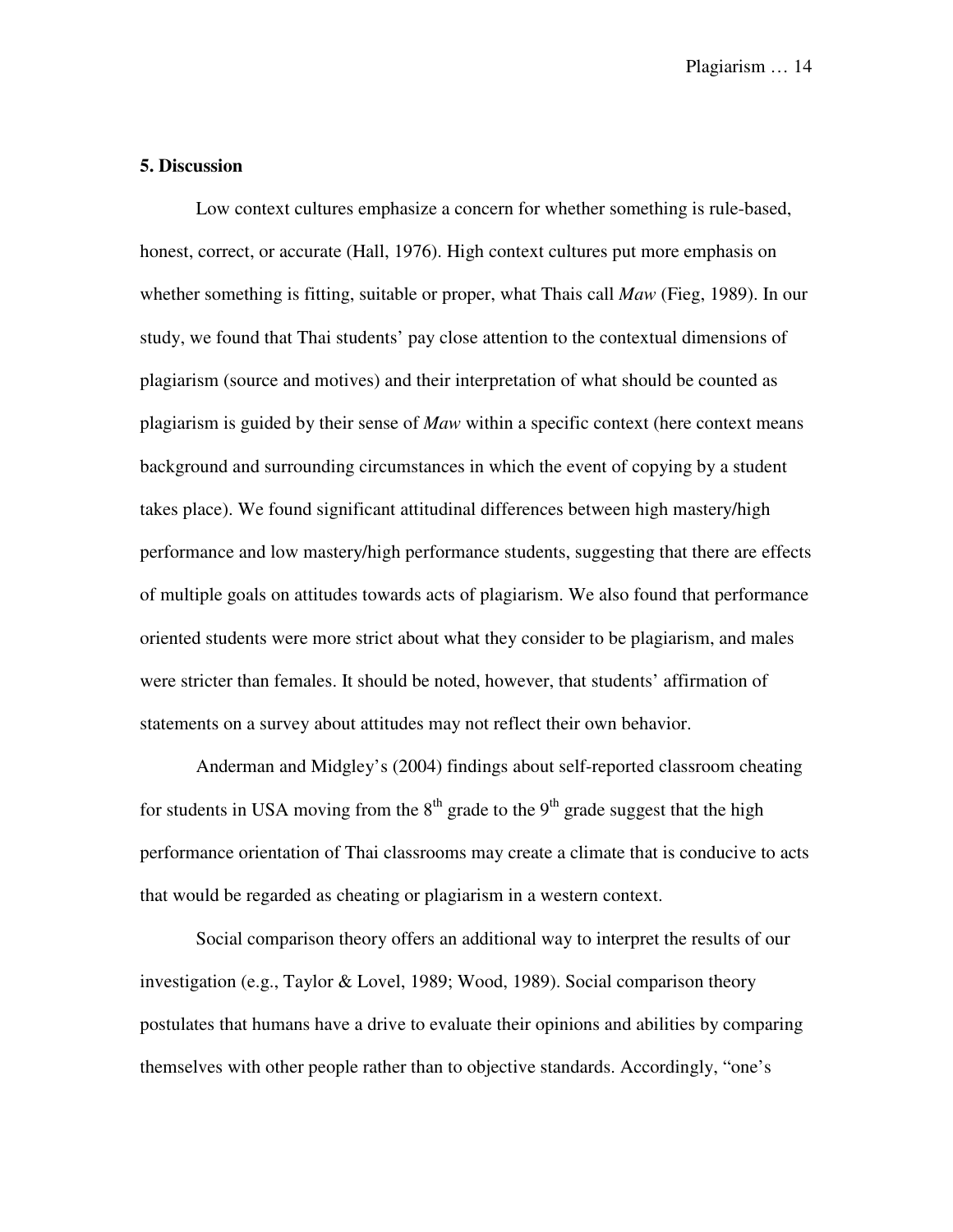### **5. Discussion**

Low context cultures emphasize a concern for whether something is rule-based, honest, correct, or accurate (Hall, 1976). High context cultures put more emphasis on whether something is fitting, suitable or proper, what Thais call *Maw* (Fieg, 1989). In our study, we found that Thai students' pay close attention to the contextual dimensions of plagiarism (source and motives) and their interpretation of what should be counted as plagiarism is guided by their sense of *Maw* within a specific context (here context means background and surrounding circumstances in which the event of copying by a student takes place). We found significant attitudinal differences between high mastery/high performance and low mastery/high performance students, suggesting that there are effects of multiple goals on attitudes towards acts of plagiarism. We also found that performance oriented students were more strict about what they consider to be plagiarism, and males were stricter than females. It should be noted, however, that students' affirmation of statements on a survey about attitudes may not reflect their own behavior.

Anderman and Midgley's (2004) findings about self-reported classroom cheating for students in USA moving from the  $8<sup>th</sup>$  grade to the  $9<sup>th</sup>$  grade suggest that the high performance orientation of Thai classrooms may create a climate that is conducive to acts that would be regarded as cheating or plagiarism in a western context.

Social comparison theory offers an additional way to interpret the results of our investigation (e.g., Taylor & Lovel, 1989; Wood, 1989). Social comparison theory postulates that humans have a drive to evaluate their opinions and abilities by comparing themselves with other people rather than to objective standards. Accordingly, "one's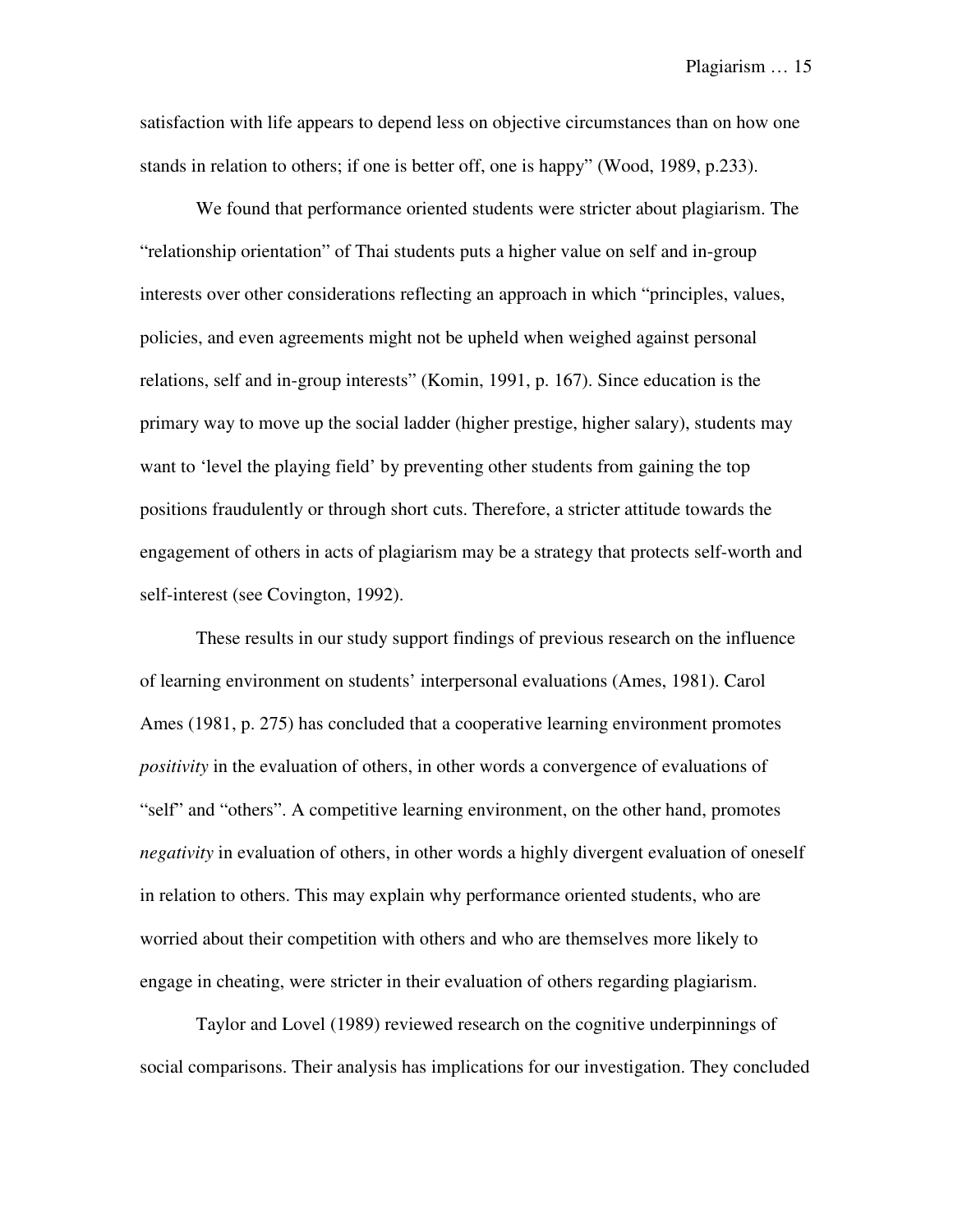satisfaction with life appears to depend less on objective circumstances than on how one stands in relation to others; if one is better off, one is happy" (Wood, 1989, p.233).

We found that performance oriented students were stricter about plagiarism. The "relationship orientation" of Thai students puts a higher value on self and in-group interests over other considerations reflecting an approach in which "principles, values, policies, and even agreements might not be upheld when weighed against personal relations, self and in-group interests" (Komin, 1991, p. 167). Since education is the primary way to move up the social ladder (higher prestige, higher salary), students may want to 'level the playing field' by preventing other students from gaining the top positions fraudulently or through short cuts. Therefore, a stricter attitude towards the engagement of others in acts of plagiarism may be a strategy that protects self-worth and self-interest (see Covington, 1992).

These results in our study support findings of previous research on the influence of learning environment on students' interpersonal evaluations (Ames, 1981). Carol Ames (1981, p. 275) has concluded that a cooperative learning environment promotes *positivity* in the evaluation of others, in other words a convergence of evaluations of "self" and "others". A competitive learning environment, on the other hand, promotes *negativity* in evaluation of others, in other words a highly divergent evaluation of oneself in relation to others. This may explain why performance oriented students, who are worried about their competition with others and who are themselves more likely to engage in cheating, were stricter in their evaluation of others regarding plagiarism.

Taylor and Lovel (1989) reviewed research on the cognitive underpinnings of social comparisons. Their analysis has implications for our investigation. They concluded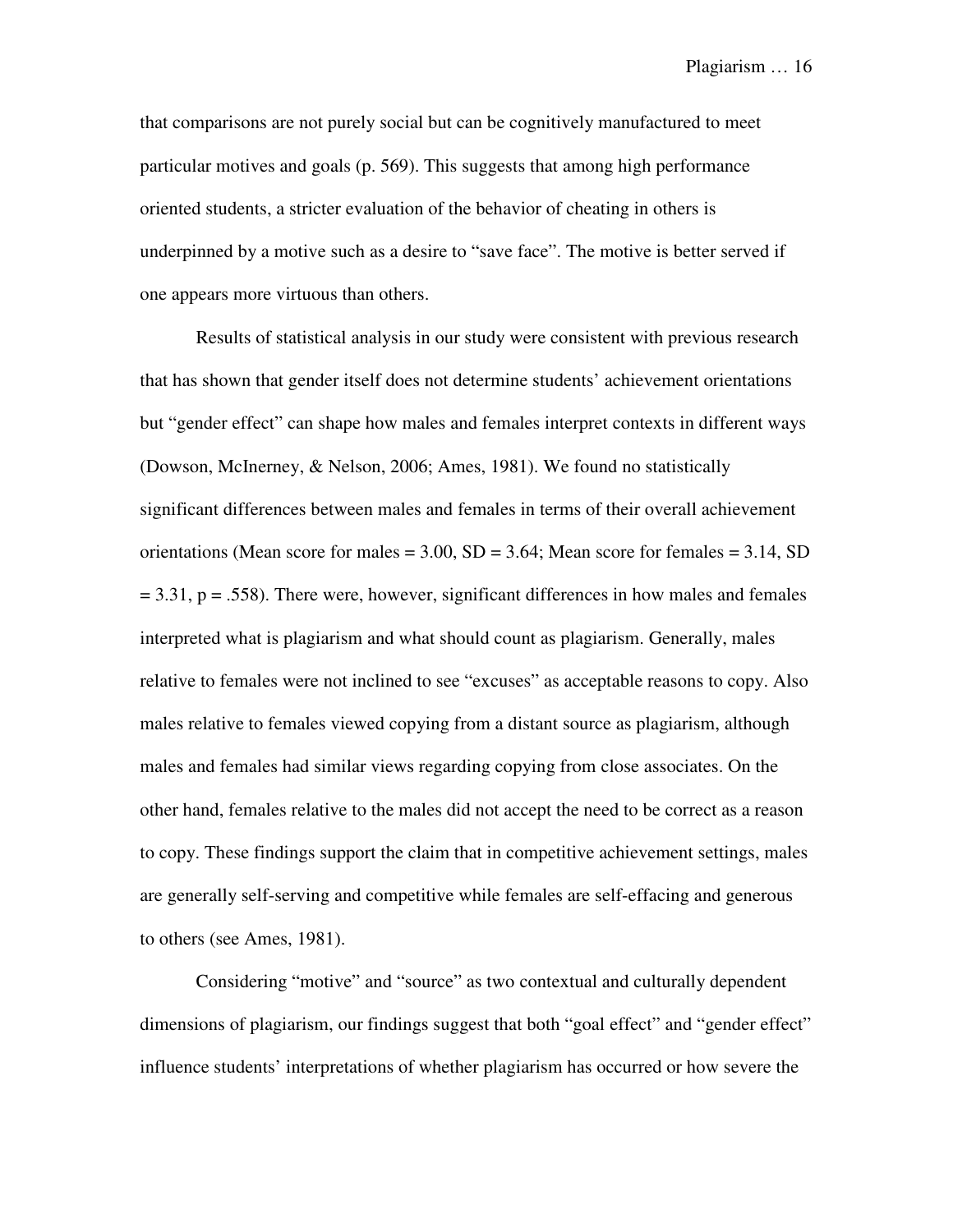that comparisons are not purely social but can be cognitively manufactured to meet particular motives and goals (p. 569). This suggests that among high performance oriented students, a stricter evaluation of the behavior of cheating in others is underpinned by a motive such as a desire to "save face". The motive is better served if one appears more virtuous than others.

Results of statistical analysis in our study were consistent with previous research that has shown that gender itself does not determine students' achievement orientations but "gender effect" can shape how males and females interpret contexts in different ways (Dowson, McInerney, & Nelson, 2006; Ames, 1981). We found no statistically significant differences between males and females in terms of their overall achievement orientations (Mean score for males  $= 3.00$ , SD  $= 3.64$ ; Mean score for females  $= 3.14$ , SD  $= 3.31$ ,  $p = .558$ ). There were, however, significant differences in how males and females interpreted what is plagiarism and what should count as plagiarism. Generally, males relative to females were not inclined to see "excuses" as acceptable reasons to copy. Also males relative to females viewed copying from a distant source as plagiarism, although males and females had similar views regarding copying from close associates. On the other hand, females relative to the males did not accept the need to be correct as a reason to copy. These findings support the claim that in competitive achievement settings, males are generally self-serving and competitive while females are self-effacing and generous to others (see Ames, 1981).

Considering "motive" and "source" as two contextual and culturally dependent dimensions of plagiarism, our findings suggest that both "goal effect" and "gender effect" influence students' interpretations of whether plagiarism has occurred or how severe the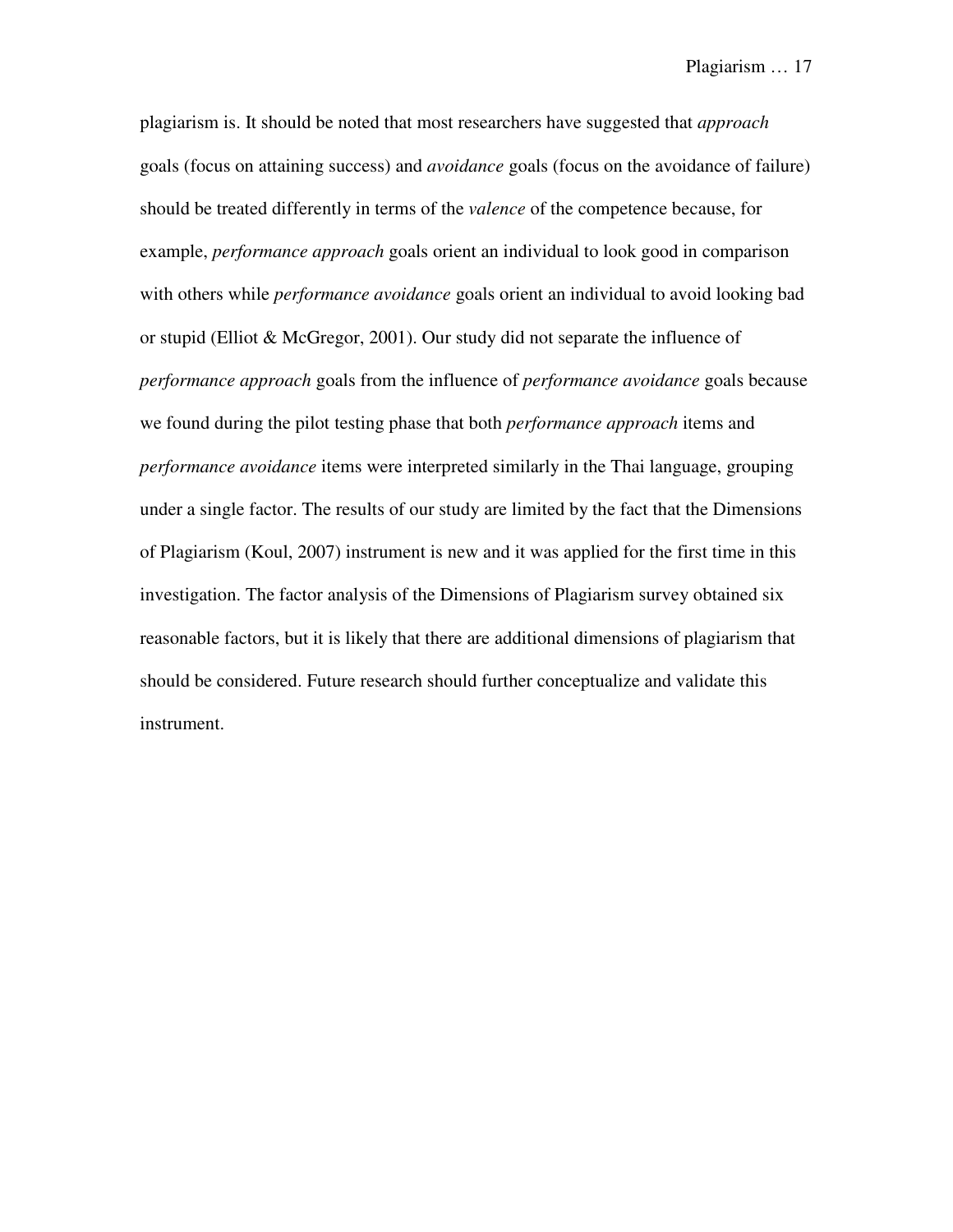plagiarism is. It should be noted that most researchers have suggested that *approach* goals (focus on attaining success) and *avoidance* goals (focus on the avoidance of failure) should be treated differently in terms of the *valence* of the competence because, for example, *performance approach* goals orient an individual to look good in comparison with others while *performance avoidance* goals orient an individual to avoid looking bad or stupid (Elliot & McGregor, 2001). Our study did not separate the influence of *performance approach* goals from the influence of *performance avoidance* goals because we found during the pilot testing phase that both *performance approach* items and *performance avoidance* items were interpreted similarly in the Thai language, grouping under a single factor. The results of our study are limited by the fact that the Dimensions of Plagiarism (Koul, 2007) instrument is new and it was applied for the first time in this investigation. The factor analysis of the Dimensions of Plagiarism survey obtained six reasonable factors, but it is likely that there are additional dimensions of plagiarism that should be considered. Future research should further conceptualize and validate this instrument.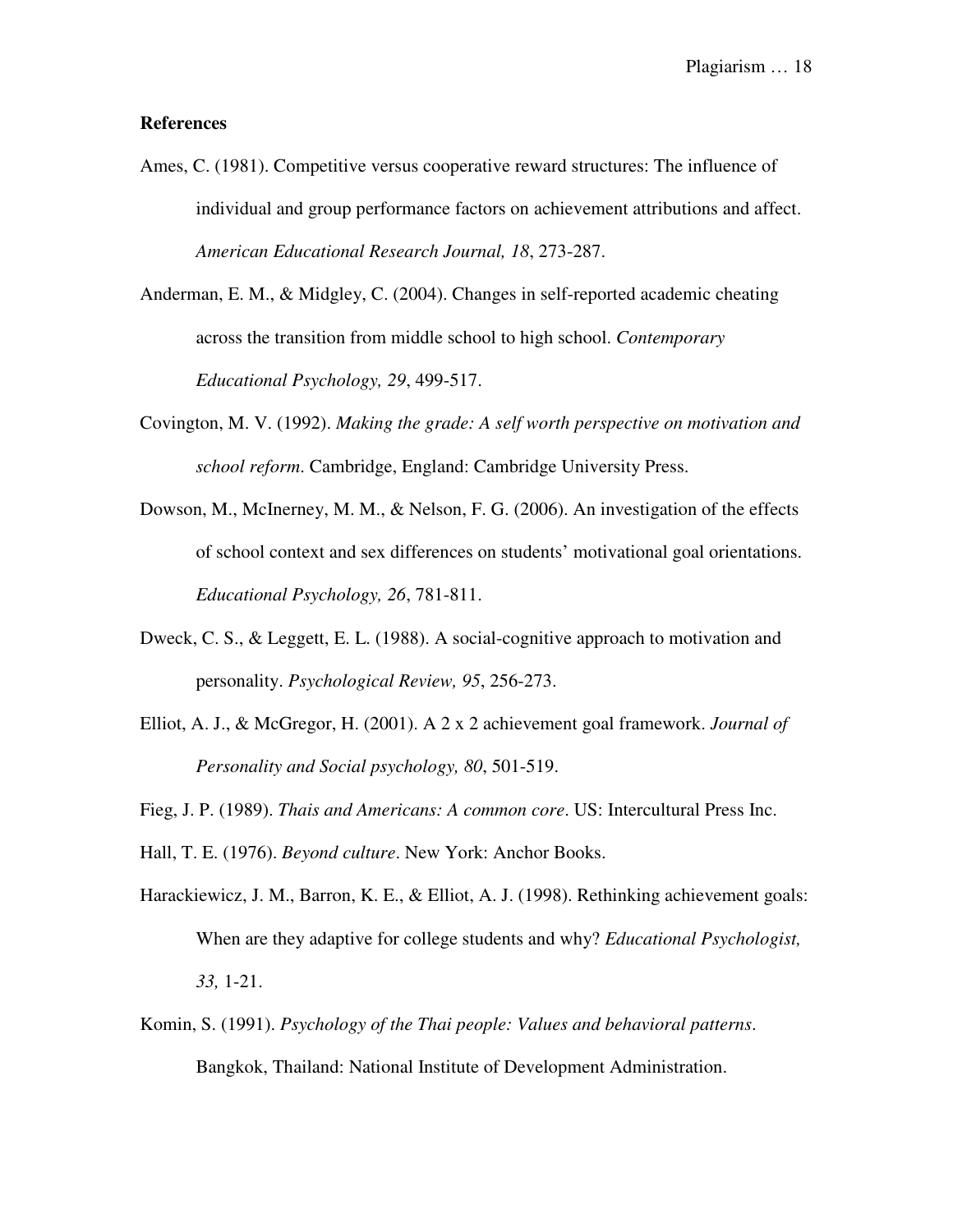#### **References**

- Ames, C. (1981). Competitive versus cooperative reward structures: The influence of individual and group performance factors on achievement attributions and affect. *American Educational Research Journal, 18*, 273-287.
- Anderman, E. M., & Midgley, C. (2004). Changes in self-reported academic cheating across the transition from middle school to high school. *Contemporary Educational Psychology, 29*, 499-517.
- Covington, M. V. (1992). *Making the grade: A self worth perspective on motivation and school reform*. Cambridge, England: Cambridge University Press.
- Dowson, M., McInerney, M. M., & Nelson, F. G. (2006). An investigation of the effects of school context and sex differences on students' motivational goal orientations. *Educational Psychology, 26*, 781-811.
- Dweck, C. S., & Leggett, E. L. (1988). A social-cognitive approach to motivation and personality. *Psychological Review, 95*, 256-273.
- Elliot, A. J., & McGregor, H. (2001). A 2 x 2 achievement goal framework. *Journal of Personality and Social psychology, 80*, 501-519.
- Fieg, J. P. (1989). *Thais and Americans: A common core*. US: Intercultural Press Inc.

Hall, T. E. (1976). *Beyond culture*. New York: Anchor Books.

- Harackiewicz, J. M., Barron, K. E., & Elliot, A. J. (1998). Rethinking achievement goals: When are they adaptive for college students and why? *Educational Psychologist, 33,* 1-21.
- Komin, S. (1991). *Psychology of the Thai people: Values and behavioral patterns*. Bangkok, Thailand: National Institute of Development Administration.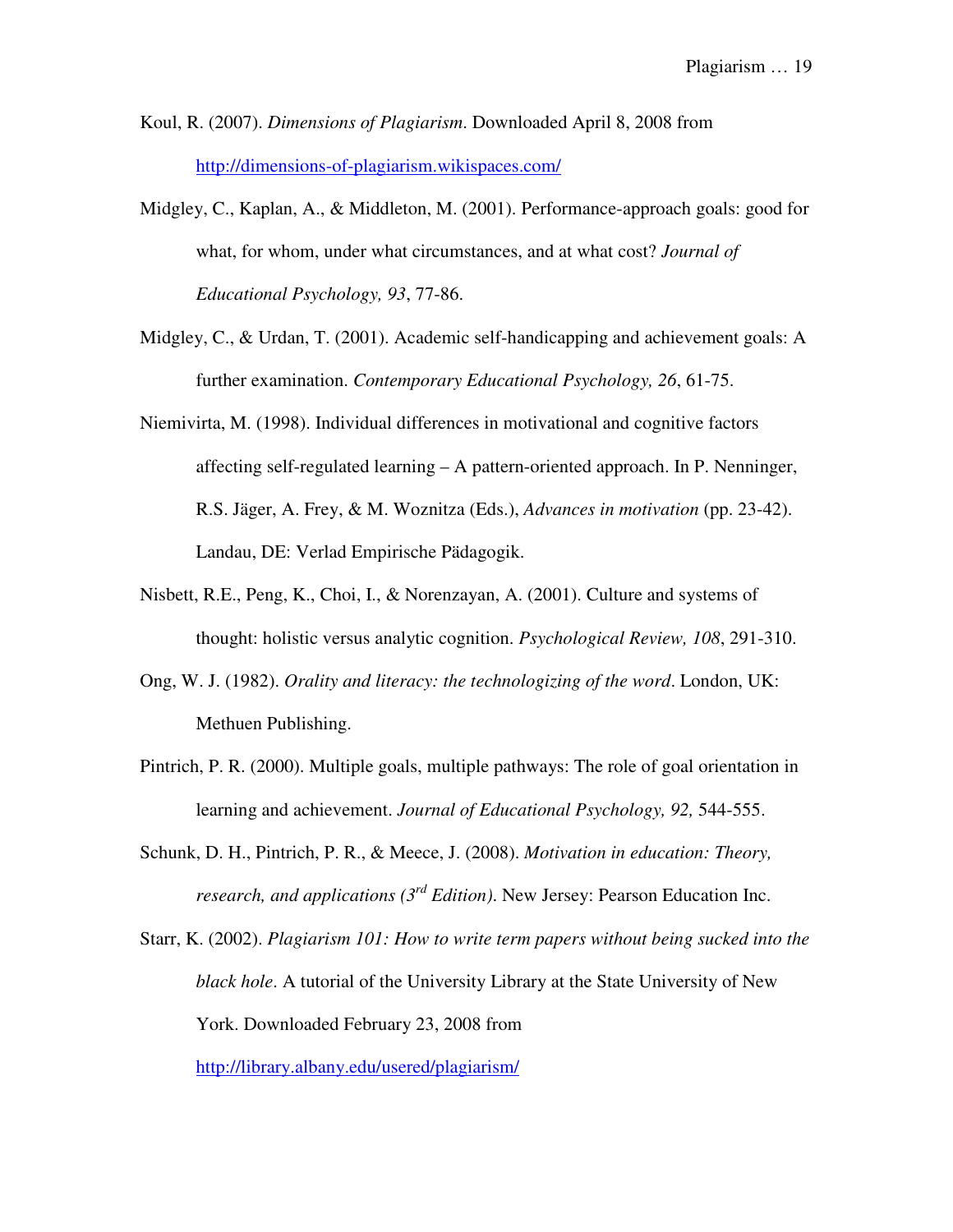Koul, R. (2007). *Dimensions of Plagiarism*. Downloaded April 8, 2008 from http://dimensions-of-plagiarism.wikispaces.com/

- Midgley, C., Kaplan, A., & Middleton, M. (2001). Performance-approach goals: good for what, for whom, under what circumstances, and at what cost? *Journal of Educational Psychology, 93*, 77-86.
- Midgley, C., & Urdan, T. (2001). Academic self-handicapping and achievement goals: A further examination. *Contemporary Educational Psychology, 26*, 61-75.
- Niemivirta, M. (1998). Individual differences in motivational and cognitive factors affecting self-regulated learning – A pattern-oriented approach. In P. Nenninger, R.S. Jäger, A. Frey, & M. Woznitza (Eds.), *Advances in motivation* (pp. 23-42). Landau, DE: Verlad Empirische Pädagogik.
- Nisbett, R.E., Peng, K., Choi, I., & Norenzayan, A. (2001). Culture and systems of thought: holistic versus analytic cognition. *Psychological Review, 108*, 291-310.
- Ong, W. J. (1982). *Orality and literacy: the technologizing of the word*. London, UK: Methuen Publishing.
- Pintrich, P. R. (2000). Multiple goals, multiple pathways: The role of goal orientation in learning and achievement. *Journal of Educational Psychology, 92,* 544-555.
- Schunk, D. H., Pintrich, P. R., & Meece, J. (2008). *Motivation in education: Theory, research, and applications (3rd Edition)*. New Jersey: Pearson Education Inc.
- Starr, K. (2002). *Plagiarism 101: How to write term papers without being sucked into the black hole*. A tutorial of the University Library at the State University of New York. Downloaded February 23, 2008 from

http://library.albany.edu/usered/plagiarism/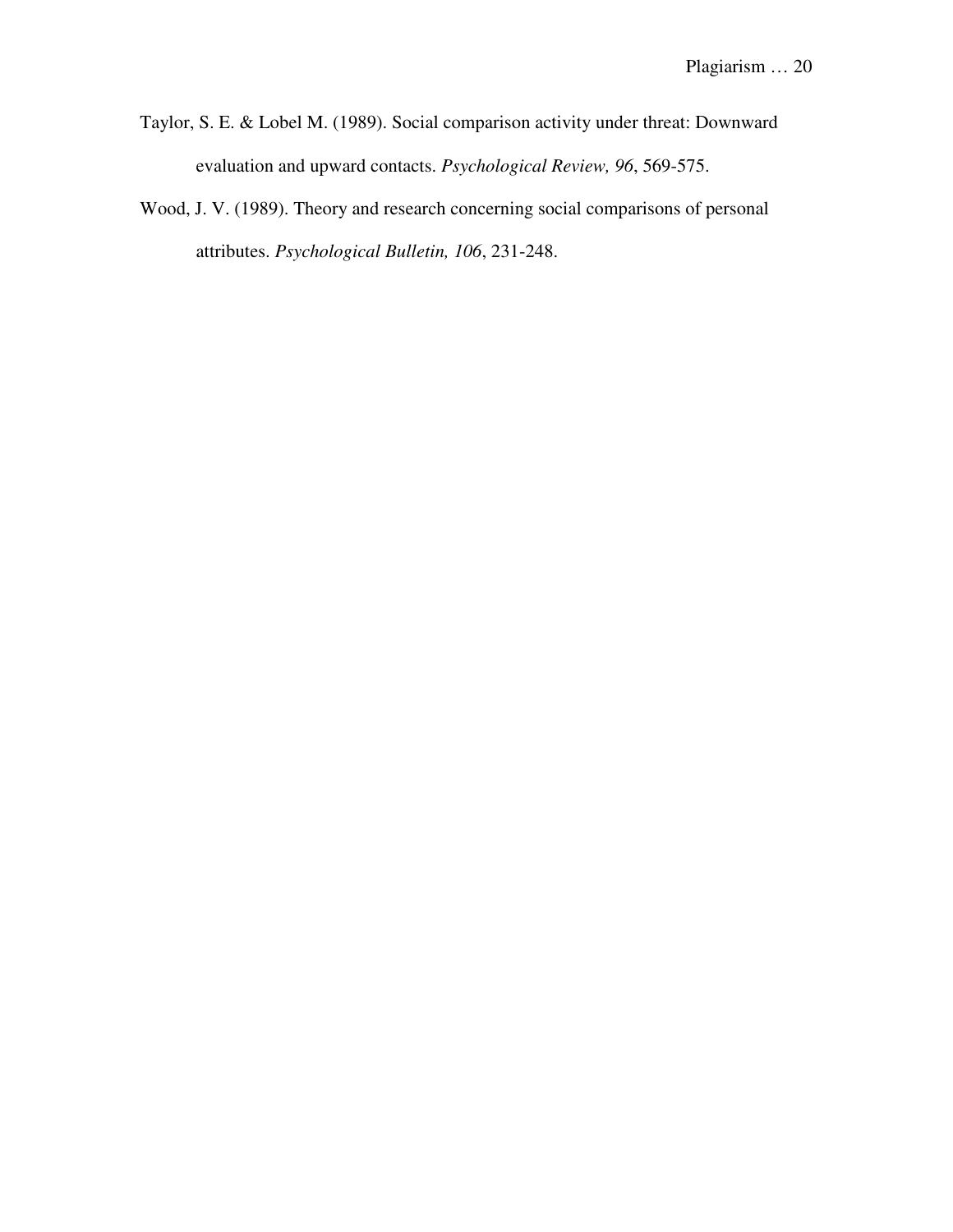- Taylor, S. E. & Lobel M. (1989). Social comparison activity under threat: Downward evaluation and upward contacts. *Psychological Review, 96*, 569-575.
- Wood, J. V. (1989). Theory and research concerning social comparisons of personal attributes. *Psychological Bulletin, 106*, 231-248.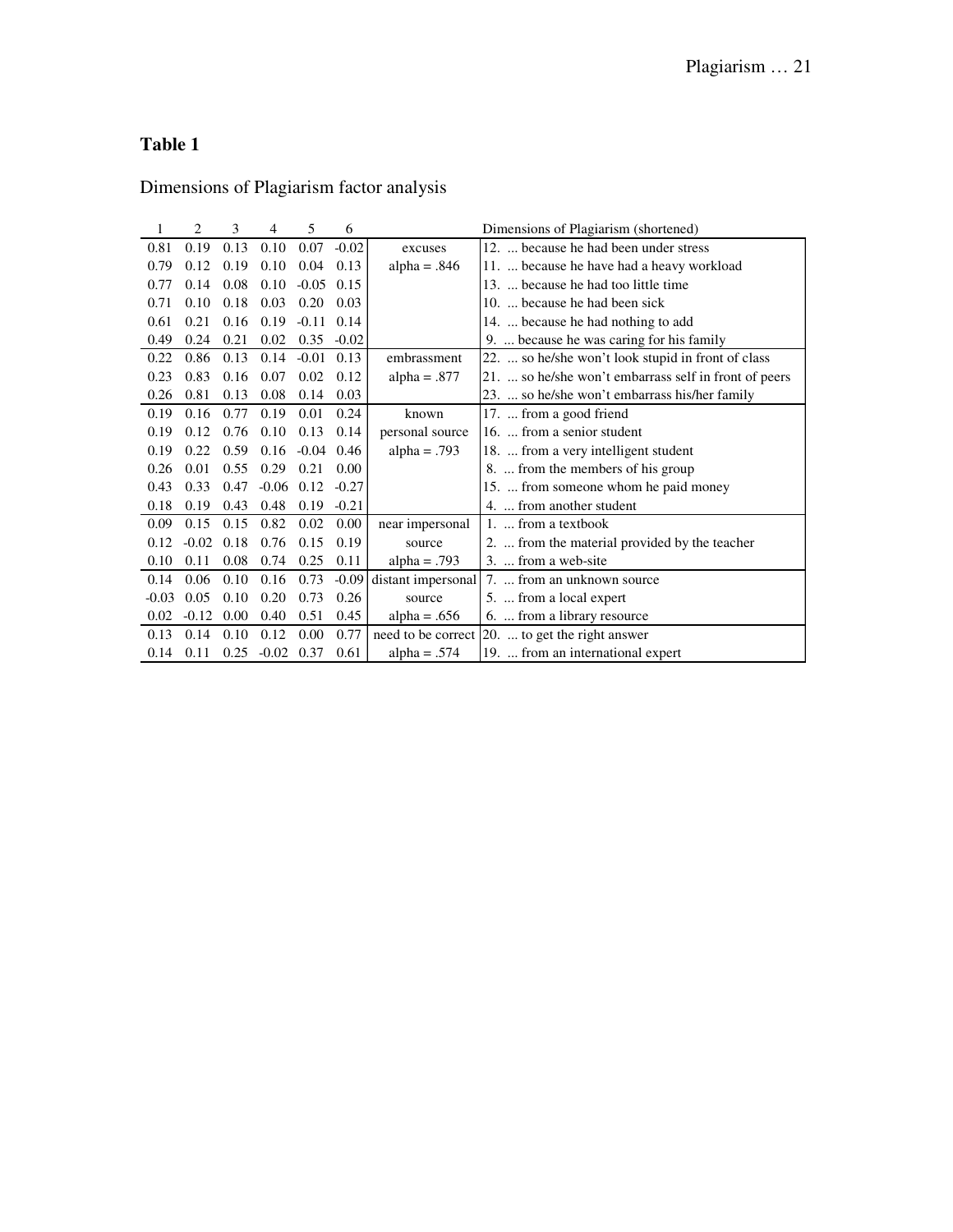Dimensions of Plagiarism factor analysis

|         | 2       | 3    | $\overline{4}$ | 5       | 6       |                    | Dimensions of Plagiarism (shortened)                  |
|---------|---------|------|----------------|---------|---------|--------------------|-------------------------------------------------------|
| 0.81    | 0.19    | 0.13 | 0.10           | 0.07    | $-0.02$ | excuses            | 12.  because he had been under stress                 |
| 0.79    | 0.12    | 0.19 | 0.10           | 0.04    | 0.13    | alpha = $.846$     | 11.  because he have had a heavy workload             |
| 0.77    | 0.14    | 0.08 | 0.10           | $-0.05$ | 0.15    |                    | 13.  because he had too little time                   |
| 0.71    | 0.10    | 0.18 | 0.03           | 0.20    | 0.03    |                    | 10.  because he had been sick                         |
| 0.61    | 0.21    | 0.16 | 0.19           | $-0.11$ | 0.14    |                    | 14.  because he had nothing to add                    |
| 0.49    | 0.24    | 0.21 | 0.02           | 0.35    | $-0.02$ |                    | 9.  because he was caring for his family              |
| 0.22    | 0.86    | 0.13 | 0.14           | $-0.01$ | 0.13    | embrassment        | 22.  so he/she won't look stupid in front of class    |
| 0.23    | 0.83    | 0.16 | 0.07           | 0.02    | 0.12    | $alpha = .877$     | 21.  so he/she won't embarrass self in front of peers |
| 0.26    | 0.81    | 0.13 | 0.08           | 0.14    | 0.03    |                    | 23.  so he/she won't embarrass his/her family         |
| 0.19    | 0.16    | 0.77 | 0.19           | 0.01    | 0.24    | known              | 17.  from a good friend                               |
| 0.19    | 0.12    | 0.76 | 0.10           | 0.13    | 0.14    | personal source    | 16.  from a senior student                            |
| 0.19    | 0.22    | 0.59 | 0.16           | $-0.04$ | 0.46    | $alpha = .793$     | 18.  from a very intelligent student                  |
| 0.26    | 0.01    | 0.55 | 0.29           | 0.21    | 0.00    |                    | 8.  from the members of his group                     |
| 0.43    | 0.33    | 0.47 | $-0.06$        | 0.12    | $-0.27$ |                    | 15.  from someone whom he paid money                  |
| 0.18    | 0.19    | 0.43 | 0.48           | 0.19    | $-0.21$ |                    | 4.  from another student                              |
| 0.09    | 0.15    | 0.15 | 0.82           | 0.02    | 0.00    | near impersonal    | 1.  from a textbook                                   |
| 0.12    | $-0.02$ | 0.18 | 0.76           | 0.15    | 0.19    | source             | 2.  from the material provided by the teacher         |
| 0.10    | 0.11    | 0.08 | 0.74           | 0.25    | 0.11    | $alpha = .793$     | 3.  from a web-site                                   |
| 0.14    | 0.06    | 0.10 | 0.16           | 0.73    | $-0.09$ | distant impersonal | 7.  from an unknown source                            |
| $-0.03$ | 0.05    | 0.10 | 0.20           | 0.73    | 0.26    | source             | 5.  from a local expert                               |
| 0.02    | $-0.12$ | 0.00 | 0.40           | 0.51    | 0.45    | alpha = $.656$     | 6.  from a library resource                           |
| 0.13    | 0.14    | 0.10 | 0.12           | 0.00    | 0.77    | need to be correct | 20.  to get the right answer                          |
| 0.14    | 0.11    | 0.25 | $-0.02$        | 0.37    | 0.61    | alpha = $.574$     | 19.  from an international expert                     |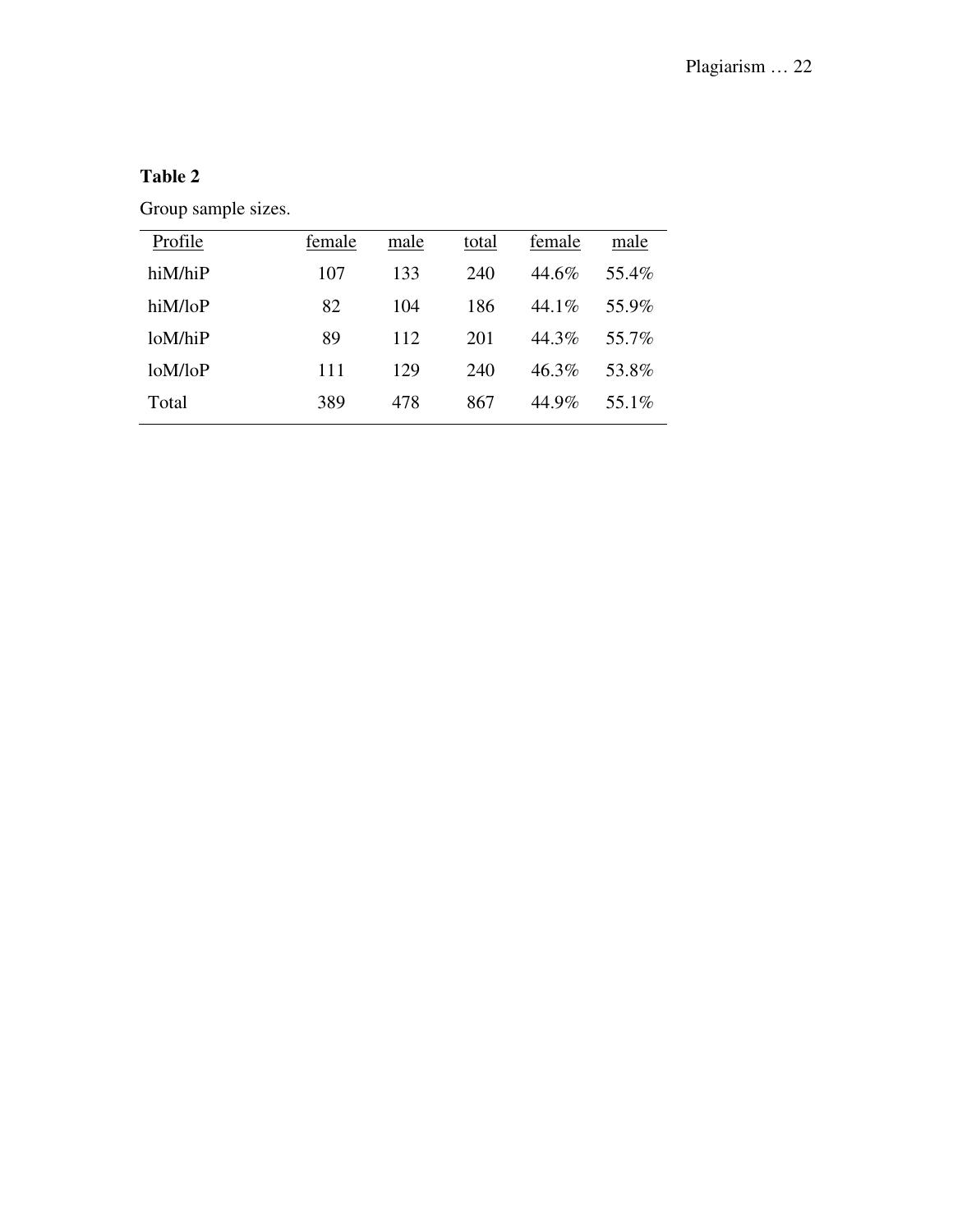Group sample sizes.

| Profile | female | male | total | female   | male  |
|---------|--------|------|-------|----------|-------|
| hiM/hiP | 107    | 133  | 240   | 44.6%    | 55.4% |
| hiM/loP | 82     | 104  | 186   | 44.1%    | 55.9% |
| loM/hiP | 89     | 112  | 201   | 44.3%    | 55.7% |
| loM/loP | 111    | 129  | 240   | $46.3\%$ | 53.8% |
| Total   | 389    | 478  | 867   | 44.9%    | 55.1% |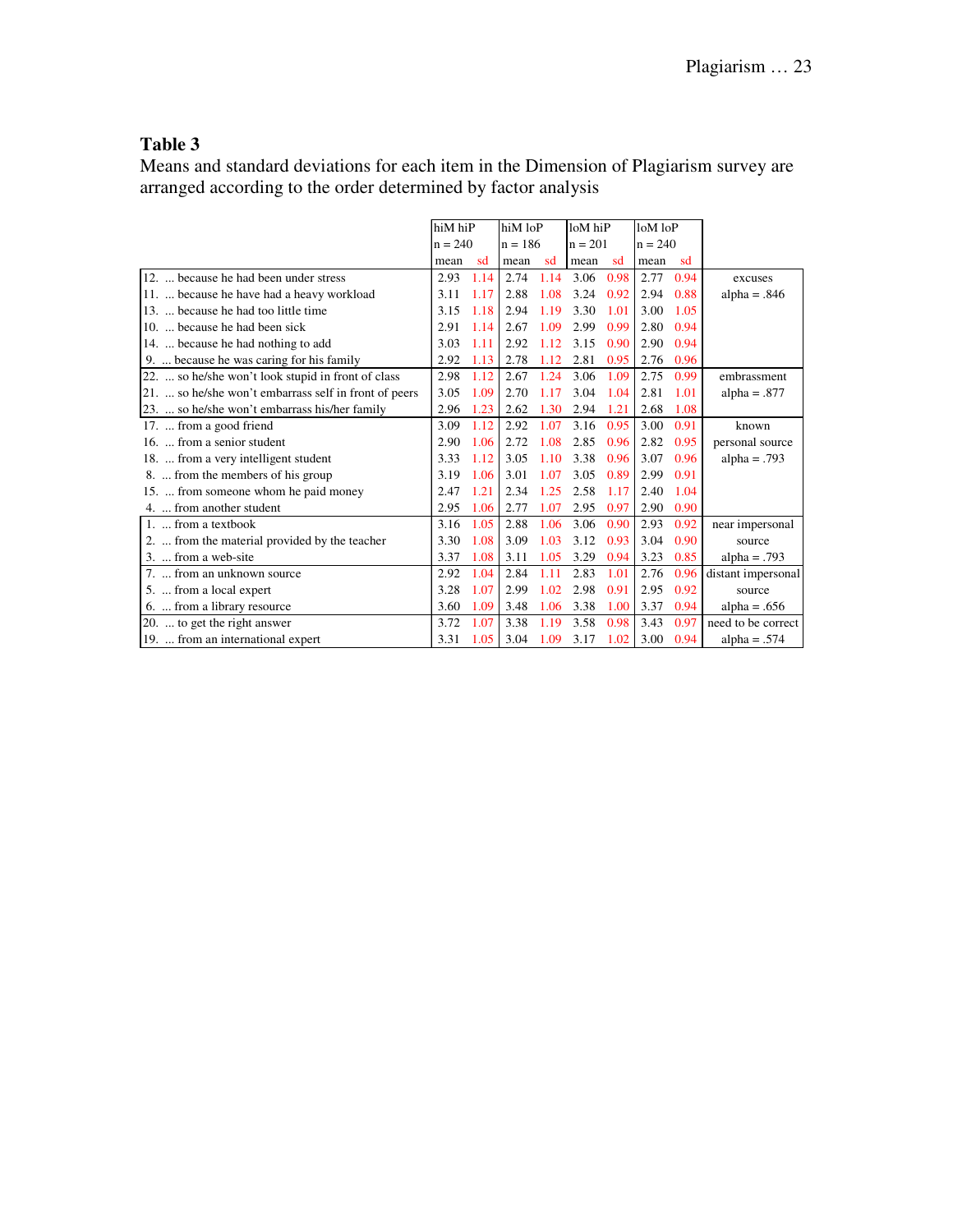Means and standard deviations for each item in the Dimension of Plagiarism survey are arranged according to the order determined by factor analysis

|                                                       |           | hiM hiP |           | hiM loP |           | loM hiP |           | loM loP |                    |
|-------------------------------------------------------|-----------|---------|-----------|---------|-----------|---------|-----------|---------|--------------------|
|                                                       | $n = 240$ |         | $n = 186$ |         | $n = 201$ |         | $n = 240$ |         |                    |
|                                                       | mean      | sd      | mean      | sd      | mean      | sd      | mean      | sd      |                    |
| 12.  because he had been under stress                 | 2.93      | 1.14    | 2.74      | 1.14    | 3.06      | 0.98    | 2.77      | 0.94    | excuses            |
| 11.  because he have had a heavy workload             | 3.11      | 1.17    | 2.88      | 1.08    | 3.24      | 0.92    | 2.94      | 0.88    | alpha = $.846$     |
| 13.  because he had too little time                   | 3.15      | 1.18    | 2.94      | 1.19    | 3.30      | 1.01    | 3.00      | 1.05    |                    |
| 10.  because he had been sick                         | 2.91      | 1.14    | 2.67      | 1.09    | 2.99      | 0.99    | 2.80      | 0.94    |                    |
| 14.  because he had nothing to add                    | 3.03      | 1.11    | 2.92      | 1.12    | 3.15      | 0.90    | 2.90      | 0.94    |                    |
| 9.  because he was caring for his family              | 2.92      | 1.13    | 2.78      | 1.12    | 2.81      | 0.95    | 2.76      | 0.96    |                    |
| 22.  so he/she won't look stupid in front of class    | 2.98      | 1.12    | 2.67      | 1.24    | 3.06      | 1.09    | 2.75      | 0.99    | embrassment        |
| 21.  so he/she won't embarrass self in front of peers | 3.05      | 1.09    | 2.70      | 1.17    | 3.04      | 1.04    | 2.81      | 1.01    | alpha = $.877$     |
| 23.  so he/she won't embarrass his/her family         | 2.96      | 1.23    | 2.62      | 1.30    | 2.94      | 1.21    | 2.68      | 1.08    |                    |
| 17.  from a good friend                               | 3.09      | 1.12    | 2.92      | 1.07    | 3.16      | 0.95    | 3.00      | 0.91    | known              |
| 16.  from a senior student                            | 2.90      | 1.06    | 2.72      | 1.08    | 2.85      | 0.96    | 2.82      | 0.95    | personal source    |
| 18.  from a very intelligent student                  | 3.33      | 1.12    | 3.05      | 1.10    | 3.38      | 0.96    | 3.07      | 0.96    | $alpha = .793$     |
| 8.  from the members of his group                     | 3.19      | 1.06    | 3.01      | 1.07    | 3.05      | 0.89    | 2.99      | 0.91    |                    |
| 15.  from someone whom he paid money                  | 2.47      | 1.21    | 2.34      | 1.25    | 2.58      | 1.17    | 2.40      | 1.04    |                    |
| 4.  from another student                              | 2.95      | 1.06    | 2.77      | 1.07    | 2.95      | 0.97    | 2.90      | 0.90    |                    |
| 1.  from a textbook                                   | 3.16      | 1.05    | 2.88      | 1.06    | 3.06      | 0.90    | 2.93      | 0.92    | near impersonal    |
| 2.  from the material provided by the teacher         | 3.30      | 1.08    | 3.09      | 1.03    | 3.12      | 0.93    | 3.04      | 0.90    | source             |
| 3.  from a web-site                                   | 3.37      | 1.08    | 3.11      | 1.05    | 3.29      | 0.94    | 3.23      | 0.85    | $alpha = .793$     |
| 7.  from an unknown source                            | 2.92      | 1.04    | 2.84      | 1.11    | 2.83      | 1.01    | 2.76      | 0.96    | distant impersonal |
| 5.  from a local expert                               | 3.28      | 1.07    | 2.99      | 1.02    | 2.98      | 0.91    | 2.95      | 0.92    | source             |
| 6.  from a library resource                           | 3.60      | 1.09    | 3.48      | 1.06    | 3.38      | 1.00    | 3.37      | 0.94    | alpha = $.656$     |
| 20.  to get the right answer                          | 3.72      | 1.07    | 3.38      | 1.19    | 3.58      | 0.98    | 3.43      | 0.97    | need to be correct |
| 19.  from an international expert                     | 3.31      | 1.05    | 3.04      | 1.09    | 3.17      | 1.02    | 3.00      | 0.94    | alpha = $.574$     |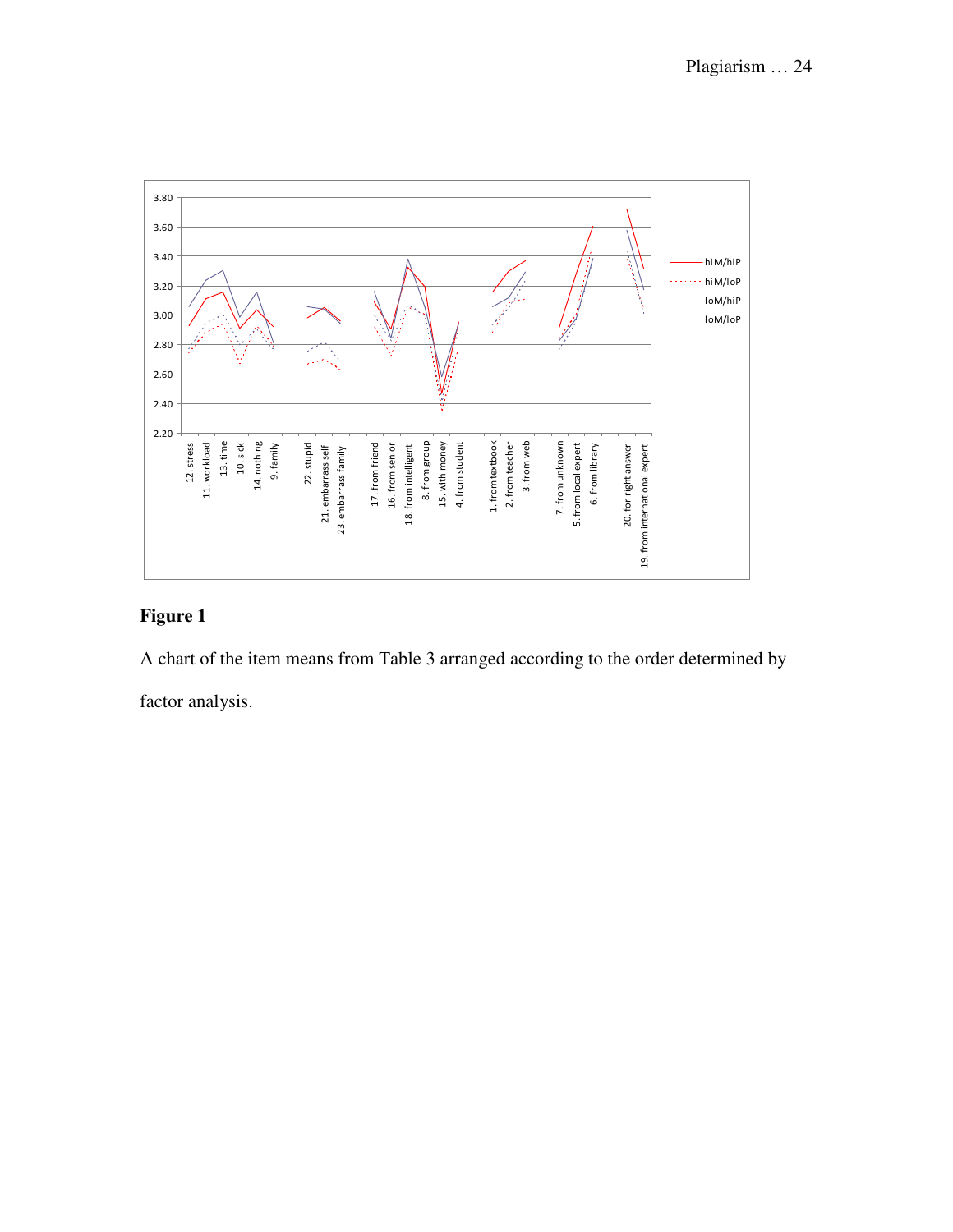

A chart of the item means from Table 3 arranged according to the order determined by

factor analysis.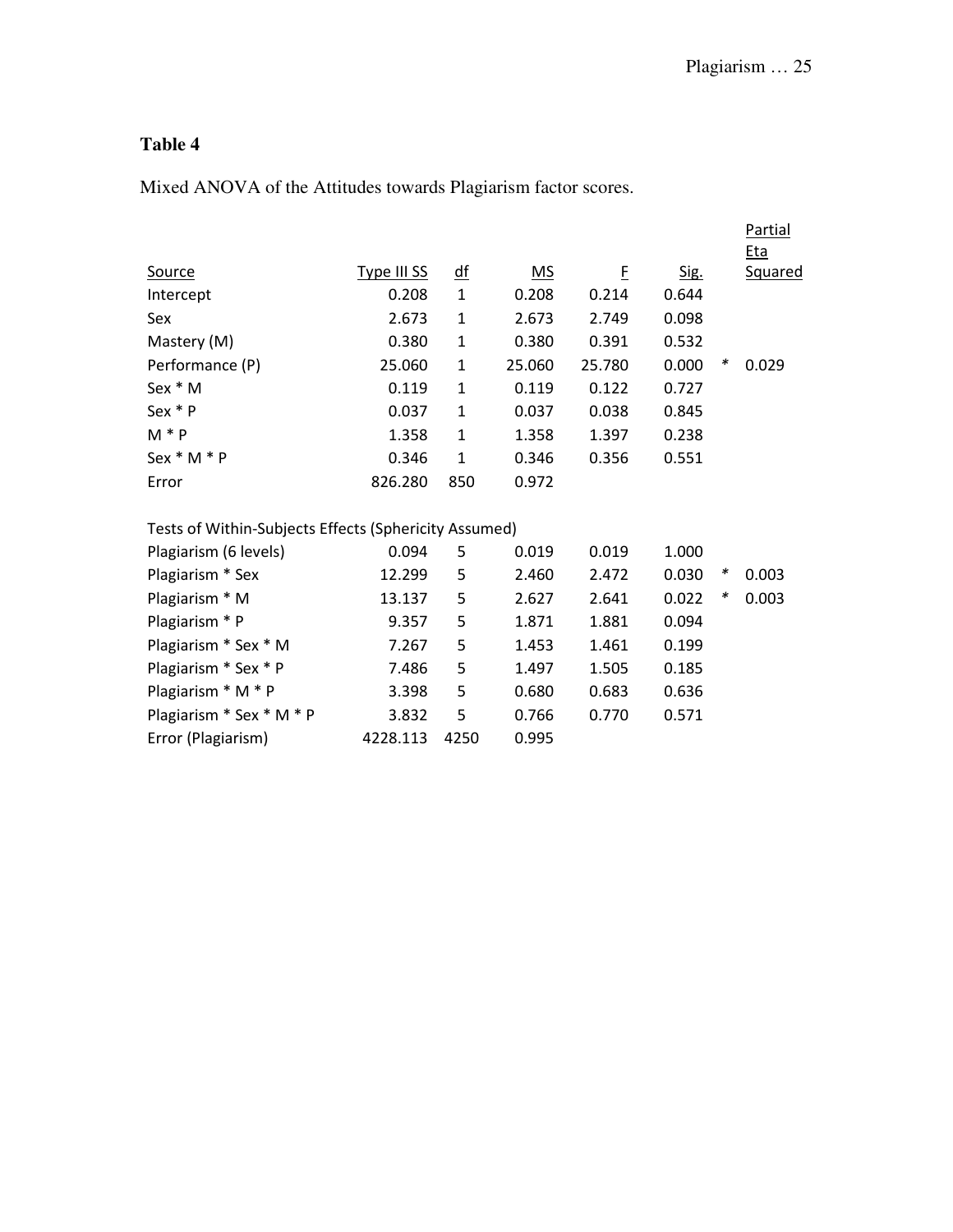Mixed ANOVA of the Attitudes towards Plagiarism factor scores.

|                                                       |             |                          |           |        |       |        | <b>Partial</b> |
|-------------------------------------------------------|-------------|--------------------------|-----------|--------|-------|--------|----------------|
|                                                       |             |                          |           |        |       |        | <b>Eta</b>     |
| <b>Source</b>                                         | Type III SS | $\overline{\mathsf{df}}$ | <u>MS</u> | E      | Sig.  |        | <b>Squared</b> |
| Intercept                                             | 0.208       | $\mathbf{1}$             | 0.208     | 0.214  | 0.644 |        |                |
| Sex                                                   | 2.673       | $\mathbf{1}$             | 2.673     | 2.749  | 0.098 |        |                |
| Mastery (M)                                           | 0.380       | $\mathbf{1}$             | 0.380     | 0.391  | 0.532 |        |                |
| Performance (P)                                       | 25.060      | $\mathbf{1}$             | 25.060    | 25.780 | 0.000 | ∗      | 0.029          |
| Sex * M                                               | 0.119       | $\mathbf{1}$             | 0.119     | 0.122  | 0.727 |        |                |
| Sex * P                                               | 0.037       | $\mathbf{1}$             | 0.037     | 0.038  | 0.845 |        |                |
| $M * P$                                               | 1.358       | $\mathbf{1}$             | 1.358     | 1.397  | 0.238 |        |                |
| Sex * M * P                                           | 0.346       | 1                        | 0.346     | 0.356  | 0.551 |        |                |
| Error                                                 | 826.280     | 850                      | 0.972     |        |       |        |                |
| Tests of Within-Subjects Effects (Sphericity Assumed) |             |                          |           |        |       |        |                |
| Plagiarism (6 levels)                                 | 0.094       | 5                        | 0.019     | 0.019  | 1.000 |        |                |
| Plagiarism * Sex                                      | 12.299      | 5                        | 2.460     | 2.472  | 0.030 | $\ast$ | 0.003          |
| Plagiarism * M                                        | 13.137      | 5                        | 2.627     | 2.641  | 0.022 | ∗      | 0.003          |
| Plagiarism * P                                        | 9.357       | 5                        | 1.871     | 1.881  | 0.094 |        |                |
| Plagiarism * Sex * M                                  | 7.267       | 5                        | 1.453     | 1.461  | 0.199 |        |                |
| Plagiarism * Sex * P                                  | 7.486       | 5                        | 1.497     | 1.505  | 0.185 |        |                |
| Plagiarism * M * P                                    | 3.398       | 5                        | 0.680     | 0.683  | 0.636 |        |                |
| Plagiarism * Sex * M * P                              | 3.832       | 5                        | 0.766     | 0.770  | 0.571 |        |                |
| Error (Plagiarism)                                    | 4228.113    | 4250                     | 0.995     |        |       |        |                |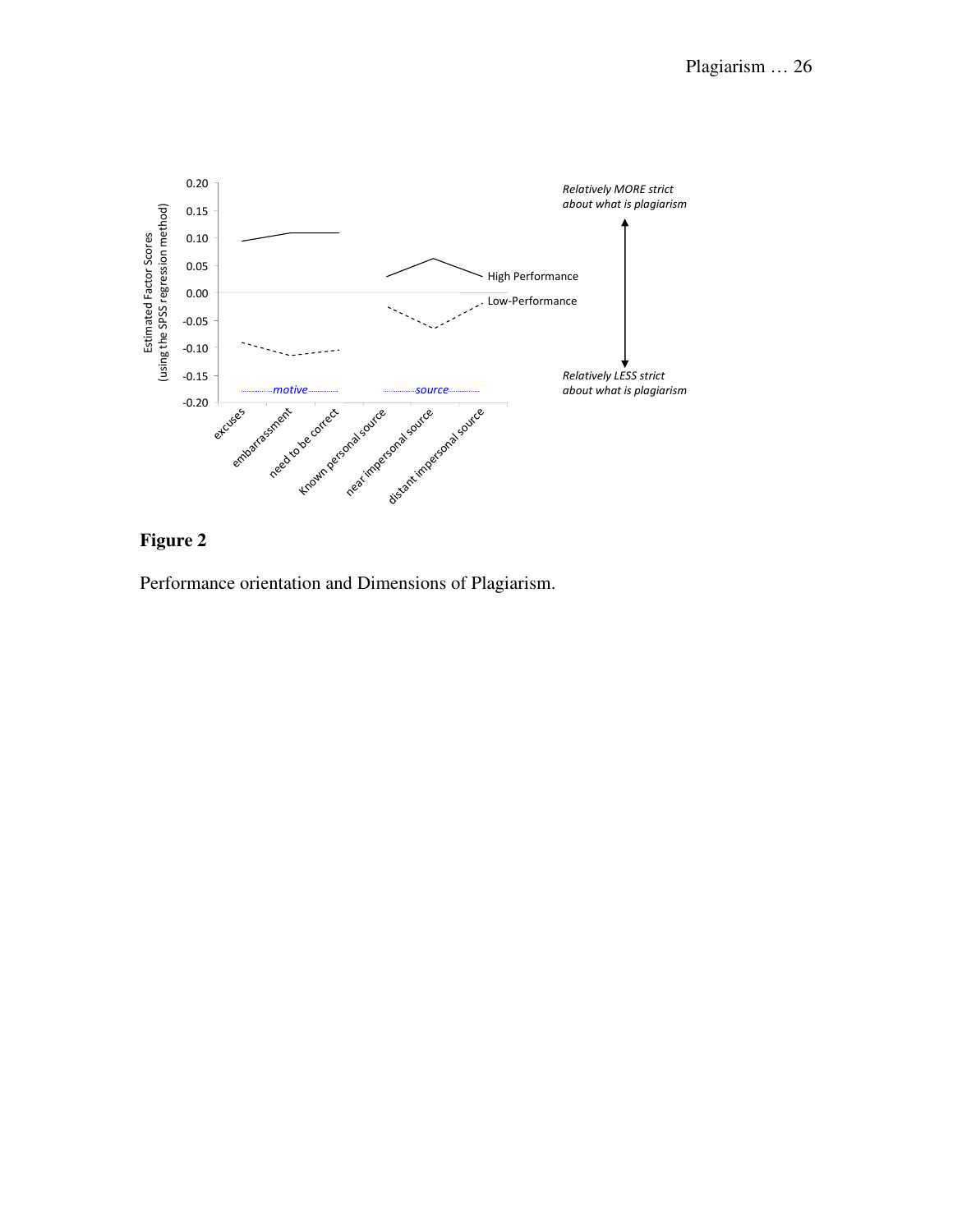

Performance orientation and Dimensions of Plagiarism.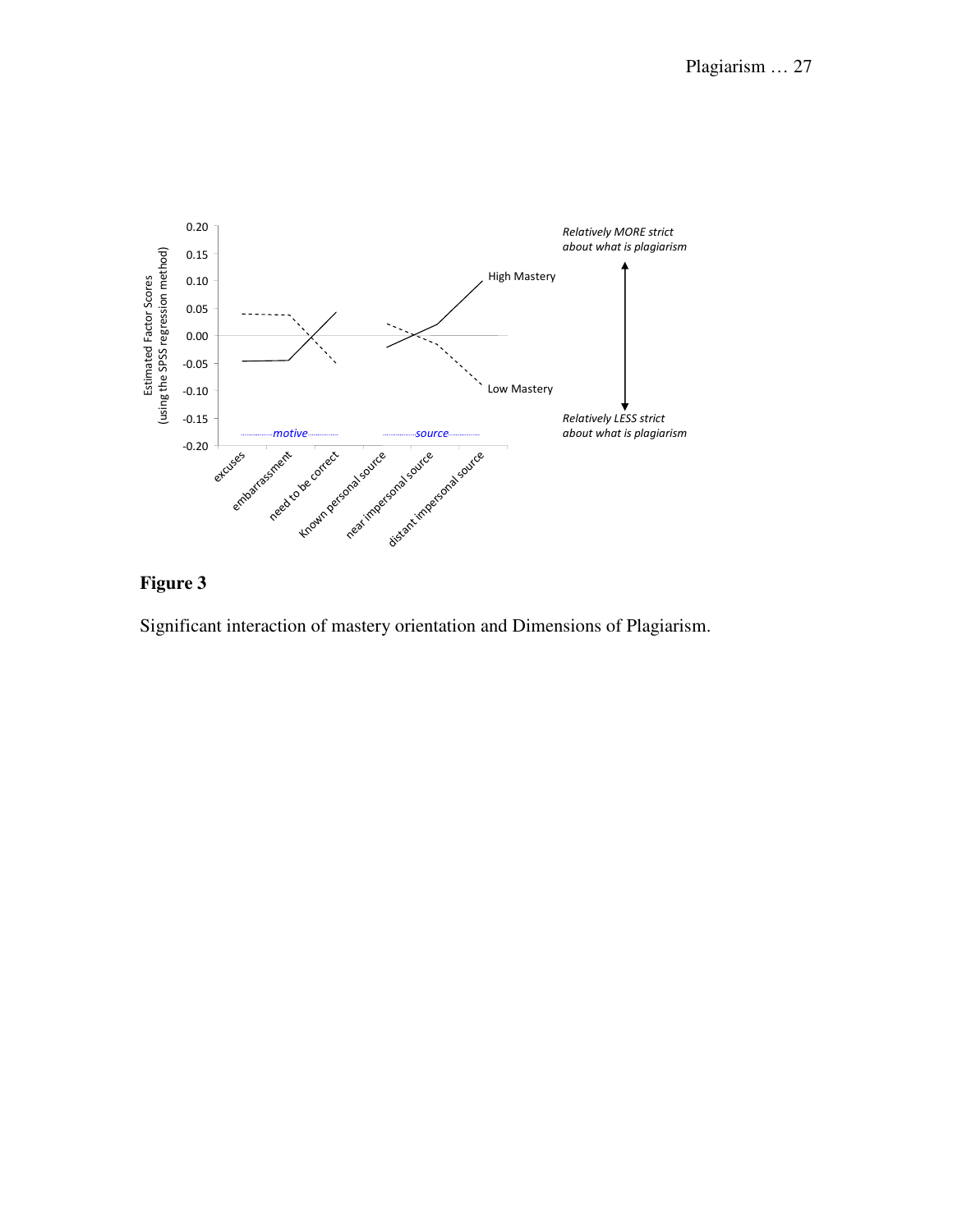

Significant interaction of mastery orientation and Dimensions of Plagiarism.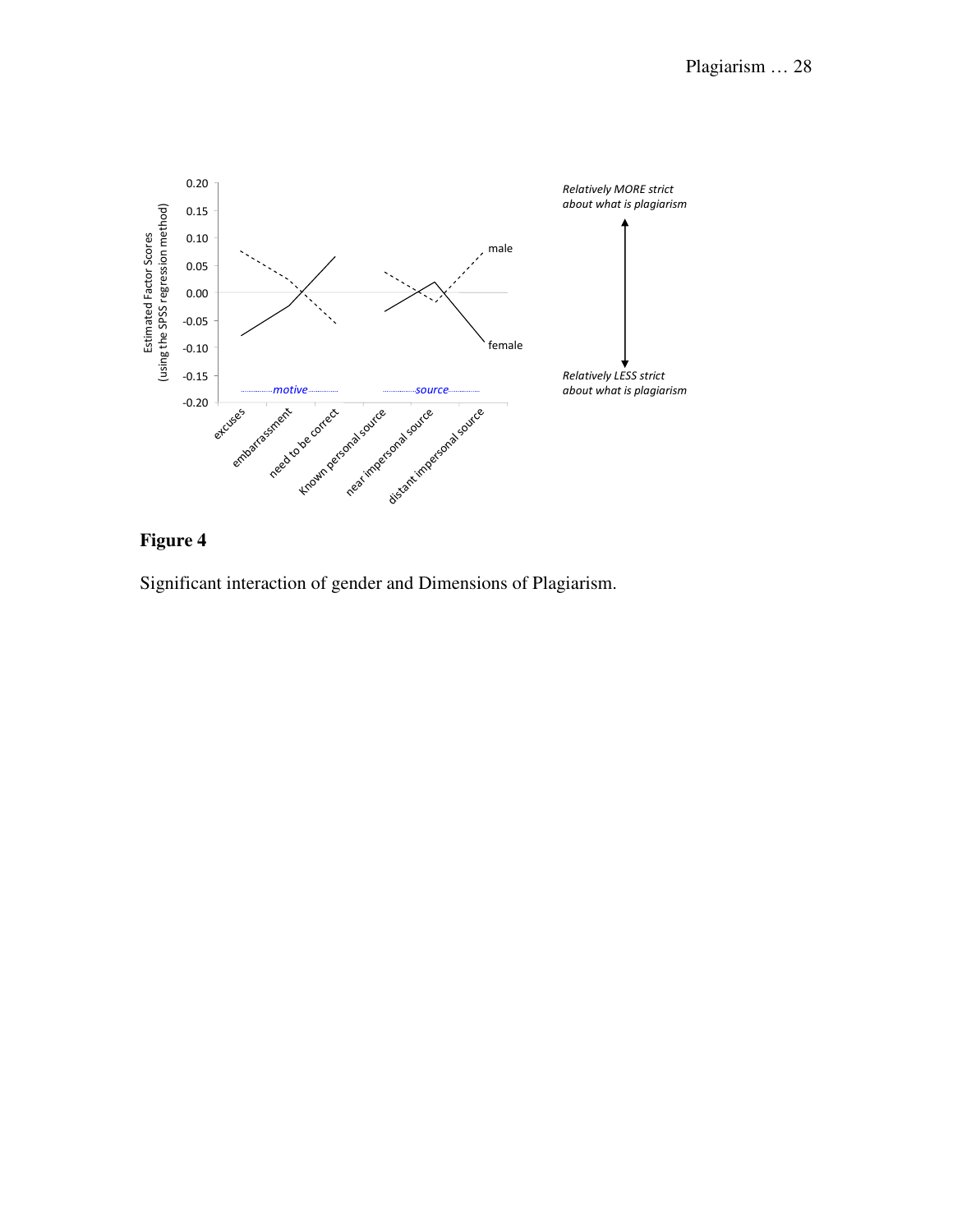

Significant interaction of gender and Dimensions of Plagiarism.